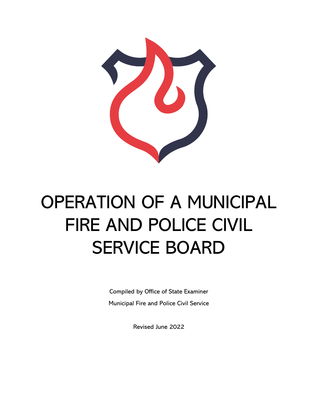

# OPERATION OF A MUNICIPAL FIRE AND POLICE CIVIL SERVICE BOARD

Compiled by Office of State Examiner Municipal Fire and Police Civil Service

Revised June 2022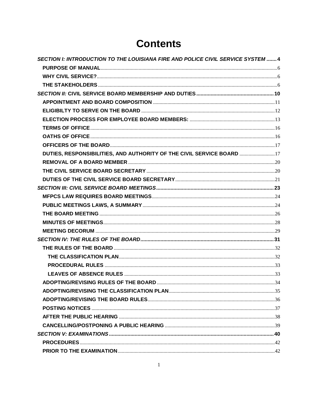# **Contents**

| SECTION I: INTRODUCTION TO THE LOUISIANA FIRE AND POLICE CIVIL SERVICE SYSTEM  4 |  |
|----------------------------------------------------------------------------------|--|
|                                                                                  |  |
|                                                                                  |  |
|                                                                                  |  |
|                                                                                  |  |
|                                                                                  |  |
|                                                                                  |  |
|                                                                                  |  |
|                                                                                  |  |
|                                                                                  |  |
|                                                                                  |  |
| DUTIES, RESPONSIBILITIES, AND AUTHORITY OF THE CIVIL SERVICE BOARD 17            |  |
|                                                                                  |  |
|                                                                                  |  |
|                                                                                  |  |
|                                                                                  |  |
|                                                                                  |  |
|                                                                                  |  |
|                                                                                  |  |
|                                                                                  |  |
|                                                                                  |  |
|                                                                                  |  |
|                                                                                  |  |
|                                                                                  |  |
|                                                                                  |  |
|                                                                                  |  |
|                                                                                  |  |
|                                                                                  |  |
|                                                                                  |  |
|                                                                                  |  |
|                                                                                  |  |
|                                                                                  |  |
|                                                                                  |  |
|                                                                                  |  |
|                                                                                  |  |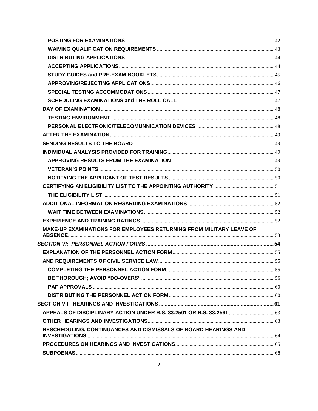| MAKE-UP EXAMINATIONS FOR EMPLOYEES RETURNING FROM MILITARY LEAVE OF |  |
|---------------------------------------------------------------------|--|
|                                                                     |  |
|                                                                     |  |
|                                                                     |  |
|                                                                     |  |
|                                                                     |  |
|                                                                     |  |
|                                                                     |  |
|                                                                     |  |
|                                                                     |  |
|                                                                     |  |
| RESCHEDULING, CONTINUANCES AND DISMISSALS OF BOARD HEARINGS AND     |  |
|                                                                     |  |
|                                                                     |  |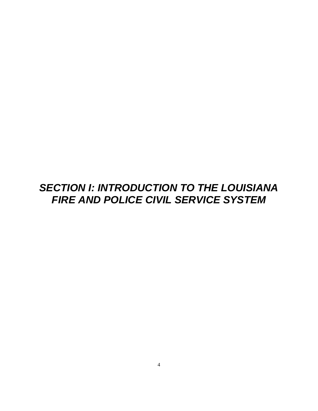# <span id="page-4-0"></span>*SECTION I: INTRODUCTION TO THE LOUISIANA FIRE AND POLICE CIVIL SERVICE SYSTEM*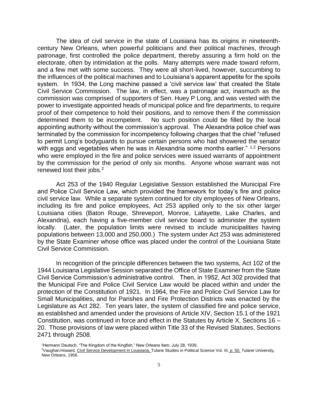The idea of civil service in the state of Louisiana has its origins in nineteenthcentury New Orleans, when powerful politicians and their political machines, through patronage, first controlled the police department, thereby assuring a firm hold on the electorate, often by intimidation at the polls. Many attempts were made toward reform, and a few met with some success. They were all short-lived, however, succumbing to the influences of the political machines and to Louisiana's apparent appetite for the spoils system. In 1934, the Long machine passed a 'civil service law' that created the State Civil Service Commission. The law, in effect, was a patronage act, inasmuch as the commission was comprised of supporters of Sen. Huey P Long, and was vested with the power to investigate appointed heads of municipal police and fire departments, to require proof of their competence to hold their positions, and to remove them if the commission determined them to be incompetent. No such position could be filled by the local appointing authority without the commission's approval. The Alexandria police chief was terminated by the commission for incompetency following charges that the chief "refused to permit Long's bodyguards to pursue certain persons who had showered the senator with eggs and vegetables when he was in Alexandria some months earlier." <sup>1,2</sup> Persons who were employed in the fire and police services were issued warrants of appointment by the commission for the period of only six months. Anyone whose warrant was not renewed lost their jobs.<sup>2</sup>

Act 253 of the 1940 Regular Legislative Session established the Municipal Fire and Police Civil Service Law, which provided the framework for today's fire and police civil service law. While a separate system continued for city employees of New Orleans, including its fire and police employees, Act 253 applied only to the six other larger Louisiana cities (Baton Rouge, Shreveport, Monroe, Lafayette, Lake Charles, and Alexandria), each having a five-member civil service board to administer the system locally. (Later, the population limits were revised to include municipalities having populations between 13,000 and 250,000.) The system under Act 253 was administered by the State Examiner whose office was placed under the control of the Louisiana State Civil Service Commission.

In recognition of the principle differences between the two systems, Act 102 of the 1944 Louisiana Legislative Session separated the Office of State Examiner from the State Civil Service Commission's administrative control. Then, in 1952, Act 302 provided that the Municipal Fire and Police Civil Service Law would be placed within and under the protection of the Constitution of 1921. In 1964, the Fire and Police Civil Service Law for Small Municipalities, and for Parishes and Fire Protection Districts was enacted by the Legislature as Act 282. Ten years later, the system of classified fire and police service, as established and amended under the provisions of Article XIV, Section 15.1 of the 1921 Constitution, was continued in force and effect in the Statutes by Article X, Sections 16 – 20. Those provisions of law were placed within Title 33 of the Revised Statutes, Sections 2471 through 2508.

<sup>&</sup>lt;sup>1</sup>Hermann Deutsch, "The Kingdom of the Kingfish," New Orleans Item, July 28, 1939.

<sup>&</sup>lt;sup>2</sup>Vaughan Howard, Civil Service Development in Louisiana, Tulane Studies in Political Science Vol. III, p. 50, Tulane University, New Orleans, 1956.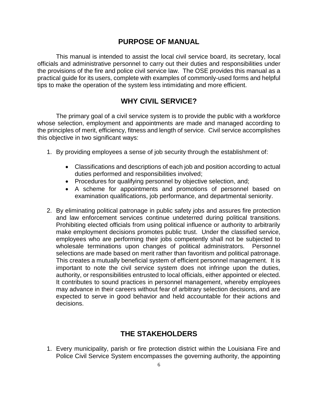## **PURPOSE OF MANUAL**

<span id="page-6-0"></span>This manual is intended to assist the local civil service board, its secretary, local officials and administrative personnel to carry out their duties and responsibilities under the provisions of the fire and police civil service law. The OSE provides this manual as a practical guide for its users, complete with examples of commonly-used forms and helpful tips to make the operation of the system less intimidating and more efficient.

# **WHY CIVIL SERVICE?**

<span id="page-6-1"></span>The primary goal of a civil service system is to provide the public with a workforce whose selection, employment and appointments are made and managed according to the principles of merit, efficiency, fitness and length of service. Civil service accomplishes this objective in two significant ways:

- 1. By providing employees a sense of job security through the establishment of:
	- Classifications and descriptions of each job and position according to actual duties performed and responsibilities involved;
	- Procedures for qualifying personnel by objective selection, and;
	- A scheme for appointments and promotions of personnel based on examination qualifications, job performance, and departmental seniority.
- 2. By eliminating political patronage in public safety jobs and assures fire protection and law enforcement services continue undeterred during political transitions. Prohibiting elected officials from using political influence or authority to arbitrarily make employment decisions promotes public trust. Under the classified service, employees who are performing their jobs competently shall not be subjected to wholesale terminations upon changes of political administrators. Personnel selections are made based on merit rather than favoritism and political patronage. This creates a mutually beneficial system of efficient personnel management. It is important to note the civil service system does not infringe upon the duties, authority, or responsibilities entrusted to local officials, either appointed or elected. It contributes to sound practices in personnel management, whereby employees may advance in their careers without fear of arbitrary selection decisions, and are expected to serve in good behavior and held accountable for their actions and decisions.

# **THE STAKEHOLDERS**

<span id="page-6-2"></span>1. Every municipality, parish or fire protection district within the Louisiana Fire and Police Civil Service System encompasses the governing authority, the appointing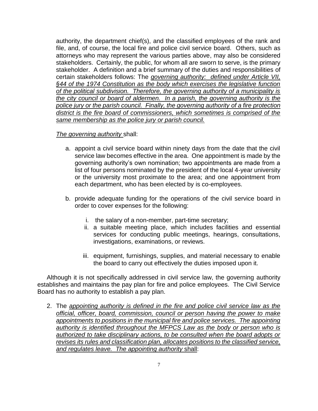authority, the department chief(s), and the classified employees of the rank and file, and, of course, the local fire and police civil service board. Others, such as attorneys who may represent the various parties above, may also be considered stakeholders. Certainly, the public, for whom all are sworn to serve, is the primary stakeholder. A definition and a brief summary of the duties and responsibilities of certain stakeholders follows: The *governing authority: defined under Article VII, §44 of the 1974 Constitution as the body which exercises the legislative function of the political subdivision. Therefore, the governing authority of a municipality is the city council or board of aldermen. In a parish, the governing authority is the police jury or the parish council. Finally, the governing authority of a fire protection*  district is the fire board of commissioners, which sometimes is comprised of the *same membership as the police jury or parish council.* 

#### *The governing authority* shall:

- a. appoint a civil service board within ninety days from the date that the civil service law becomes effective in the area. One appointment is made by the governing authority's own nomination; two appointments are made from a list of four persons nominated by the president of the local 4-year university or the university most proximate to the area; and one appointment from each department, who has been elected by is co-employees.
- b. provide adequate funding for the operations of the civil service board in order to cover expenses for the following:
	- i. the salary of a non-member, part-time secretary;
	- ii. a suitable meeting place, which includes facilities and essential services for conducting public meetings, hearings, consultations, investigations, examinations, or reviews.
	- iii. equipment, furnishings, supplies, and material necessary to enable the board to carry out effectively the duties imposed upon it.

Although it is not specifically addressed in civil service law, the governing authority establishes and maintains the pay plan for fire and police employees. The Civil Service Board has no authority to establish a pay plan.

2. The *appointing authority is defined in the fire and police civil service law as the official, officer, board, commission, council or person having the power to make appointments to positions in the municipal fire and police services. The appointing authority is identified throughout the MFPCS Law as the body or person who is authorized to take disciplinary actions, to be consulted when the board adopts or revises its rules and classification plan, allocates positions to the classified service, and regulates leave. The appointing authority* shall: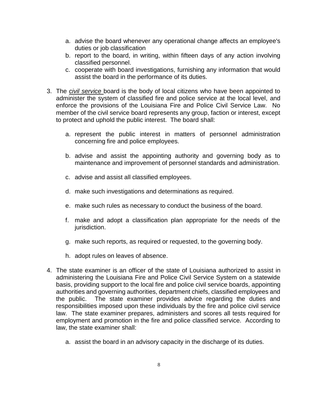- a. advise the board whenever any operational change affects an employee's duties or job classification
- b. report to the board, in writing, within fifteen days of any action involving classified personnel.
- c. cooperate with board investigations, furnishing any information that would assist the board in the performance of its duties.
- 3. The *civil service* board is the body of local citizens who have been appointed to administer the system of classified fire and police service at the local level, and enforce the provisions of the Louisiana Fire and Police Civil Service Law. No member of the civil service board represents any group, faction or interest, except to protect and uphold the public interest. The board shall:
	- a. represent the public interest in matters of personnel administration concerning fire and police employees.
	- b. advise and assist the appointing authority and governing body as to maintenance and improvement of personnel standards and administration.
	- c. advise and assist all classified employees.
	- d. make such investigations and determinations as required.
	- e. make such rules as necessary to conduct the business of the board.
	- f. make and adopt a classification plan appropriate for the needs of the jurisdiction.
	- g. make such reports, as required or requested, to the governing body.
	- h. adopt rules on leaves of absence.
- 4. The state examiner is an officer of the state of Louisiana authorized to assist in administering the Louisiana Fire and Police Civil Service System on a statewide basis, providing support to the local fire and police civil service boards, appointing authorities and governing authorities, department chiefs, classified employees and the public. The state examiner provides advice regarding the duties and responsibilities imposed upon these individuals by the fire and police civil service law. The state examiner prepares, administers and scores all tests required for employment and promotion in the fire and police classified service. According to law, the state examiner shall:
	- a. assist the board in an advisory capacity in the discharge of its duties.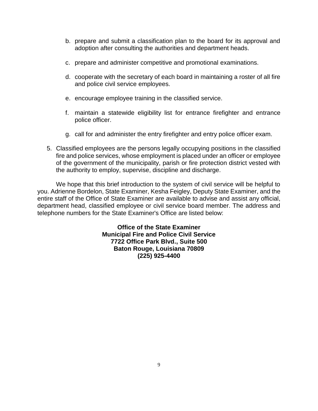- b. prepare and submit a classification plan to the board for its approval and adoption after consulting the authorities and department heads.
- c. prepare and administer competitive and promotional examinations.
- d. cooperate with the secretary of each board in maintaining a roster of all fire and police civil service employees.
- e. encourage employee training in the classified service.
- f. maintain a statewide eligibility list for entrance firefighter and entrance police officer.
- g. call for and administer the entry firefighter and entry police officer exam.
- 5. Classified employees are the persons legally occupying positions in the classified fire and police services, whose employment is placed under an officer or employee of the government of the municipality, parish or fire protection district vested with the authority to employ, supervise, discipline and discharge.

We hope that this brief introduction to the system of civil service will be helpful to you. Adrienne Bordelon, State Examiner, Kesha Feigley, Deputy State Examiner, and the entire staff of the Office of State Examiner are available to advise and assist any official, department head, classified employee or civil service board member. The address and telephone numbers for the State Examiner's Office are listed below:

> **Office of the State Examiner Municipal Fire and Police Civil Service 7722 Office Park Blvd., Suite 500 Baton Rouge, Louisiana 70809 (225) 925-4400**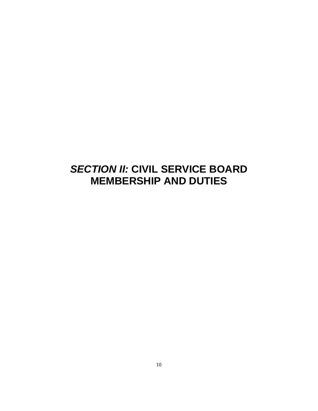# <span id="page-10-0"></span>*SECTION II:* **CIVIL SERVICE BOARD MEMBERSHIP AND DUTIES**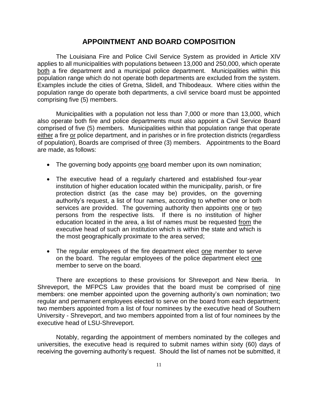#### **APPOINTMENT AND BOARD COMPOSITION**

<span id="page-11-0"></span>The Louisiana Fire and Police Civil Service System as provided in Article XIV applies to all municipalities with populations between 13,000 and 250,000, which operate both a fire department and a municipal police department. Municipalities within this population range which do not operate both departments are excluded from the system. Examples include the cities of Gretna, Slidell, and Thibodeaux. Where cities within the population range do operate both departments, a civil service board must be appointed comprising five (5) members.

Municipalities with a population not less than 7,000 or more than 13,000, which also operate both fire and police departments must also appoint a Civil Service Board comprised of five (5) members. Municipalities within that population range that operate either a fire or police department, and in parishes or in fire protection districts (regardless of population), Boards are comprised of three (3) members. Appointments to the Board are made, as follows:

- The governing body appoints one board member upon its own nomination;
- The executive head of a regularly chartered and established four-year institution of higher education located within the municipality, parish, or fire protection district (as the case may be) provides, on the governing authority's request, a list of four names, according to whether one or both services are provided. The governing authority then appoints one or two persons from the respective lists. If there is no institution of higher education located in the area, a list of names must be requested from the executive head of such an institution which is within the state and which is the most geographically proximate to the area served;
- The regular employees of the fire department elect one member to serve on the board. The regular employees of the police department elect one member to serve on the board.

There are exceptions to these provisions for Shreveport and New Iberia. In Shreveport, the MFPCS Law provides that the board must be comprised of nine members: one member appointed upon the governing authority's own nomination; two regular and permanent employees elected to serve on the board from each department; two members appointed from a list of four nominees by the executive head of Southern University - Shreveport, and two members appointed from a list of four nominees by the executive head of LSU-Shreveport.

Notably, regarding the appointment of members nominated by the colleges and universities, the executive head is required to submit names within sixty (60) days of receiving the governing authority's request. Should the list of names not be submitted, it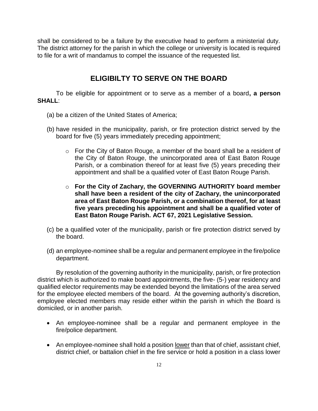shall be considered to be a failure by the executive head to perform a ministerial duty. The district attorney for the parish in which the college or university is located is required to file for a writ of mandamus to compel the issuance of the requested list.

# <span id="page-12-0"></span>**ELIGIBILTY TO SERVE ON THE BOARD**

To be eligible for appointment or to serve as a member of a board**, a person SHALL**:

- (a) be a citizen of the United States of America;
- (b) have resided in the municipality, parish, or fire protection district served by the board for five (5) years immediately preceding appointment;
	- o For the City of Baton Rouge, a member of the board shall be a resident of the City of Baton Rouge, the unincorporated area of East Baton Rouge Parish, or a combination thereof for at least five (5) years preceding their appointment and shall be a qualified voter of East Baton Rouge Parish.
	- o **For the City of Zachary, the GOVERNING AUTHORITY board member shall have been a resident of the city of Zachary, the unincorporated area of East Baton Rouge Parish, or a combination thereof, for at least five years preceding his appointment and shall be a qualified voter of East Baton Rouge Parish. ACT 67, 2021 Legislative Session.**
- (c) be a qualified voter of the municipality, parish or fire protection district served by the board.
- (d) an employee-nominee shall be a regular and permanent employee in the fire/police department.

By resolution of the governing authority in the municipality, parish, or fire protection district which is authorized to make board appointments, the five- (5-) year residency and qualified elector requirements may be extended beyond the limitations of the area served for the employee elected members of the board. At the governing authority's discretion, employee elected members may reside either within the parish in which the Board is domiciled, or in another parish.

- An employee-nominee shall be a regular and permanent employee in the fire/police department.
- An employee-nominee shall hold a position <u>lower</u> than that of chief, assistant chief, district chief, or battalion chief in the fire service or hold a position in a class lower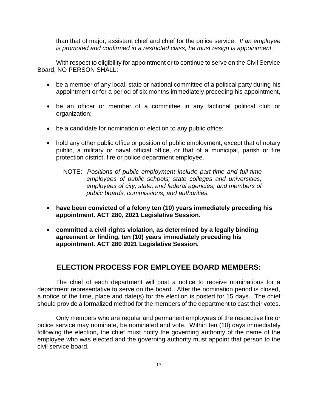than that of major, assistant chief and chief for the police service. *If an employee is promoted and confirmed in a restricted class, he must resign is appointment.* 

With respect to eligibility for appointment or to continue to serve on the Civil Service Board, NO PERSON SHALL:

- be a member of any local, state or national committee of a political party during his appointment or for a period of six months immediately preceding his appointment,
- be an officer or member of a committee in any factional political club or organization;
- be a candidate for nomination or election to any public office;
- hold any other public office or position of public employment, except that of notary public, a military or naval official office, or that of a municipal, parish or fire protection district, fire or police department employee.
	- NOTE: *Positions of public employment include part-time and full-time employees of public schools; state colleges and universities; employees of city, state, and federal agencies; and members of public boards, commissions, and authorities.*
- **have been convicted of a felony ten (10) years immediately preceding his appointment. ACT 280, 2021 Legislative Session.**
- **committed a civil rights violation, as determined by a legally binding agreement or finding, ten (10) years immediately preceding his appointment. ACT 280 2021 Legislative Session.**

# **ELECTION PROCESS FOR EMPLOYEE BOARD MEMBERS:**

<span id="page-13-0"></span>The chief of each department will post a notice to receive nominations for a department representative to serve on the board. After the nomination period is closed, a notice of the time, place and date(s) for the election is posted for 15 days. The chief should provide a formalized method for the members of the department to cast their votes.

Only members who are regular and permanent employees of the respective fire or police service may nominate, be nominated and vote. Within ten (10) days immediately following the election, the chief must notify the governing authority of the name of the employee who was elected and the governing authority must appoint that person to the civil service board.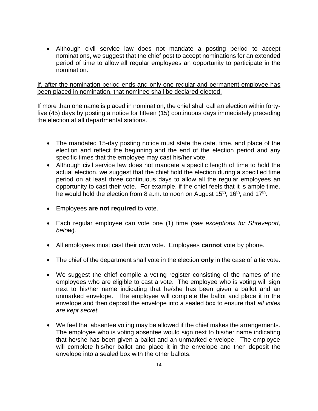• Although civil service law does not mandate a posting period to accept nominations, we suggest that the chief post to accept nominations for an extended period of time to allow all regular employees an opportunity to participate in the nomination.

If, after the nomination period ends and only one regular and permanent employee has been placed in nomination, that nominee shall be declared elected.

If more than one name is placed in nomination, the chief shall call an election within fortyfive (45) days by posting a notice for fifteen (15) continuous days immediately preceding the election at all departmental stations.

- The mandated 15-day posting notice must state the date, time, and place of the election and reflect the beginning and the end of the election period and any specific times that the employee may cast his/her vote.
- Although civil service law does not mandate a specific length of time to hold the actual election, we suggest that the chief hold the election during a specified time period on at least three continuous days to allow all the regular employees an opportunity to cast their vote. For example, if the chief feels that it is ample time, he would hold the election from 8 a.m. to noon on August 15<sup>th</sup>, 16<sup>th</sup>, and 17<sup>th</sup>.
- Employees **are not required** to vote.
- Each regular employee can vote one (1) time (*see exceptions for Shreveport, below*).
- All employees must cast their own vote. Employees **cannot** vote by phone.
- The chief of the department shall vote in the election **only** in the case of a tie vote.
- We suggest the chief compile a voting register consisting of the names of the employees who are eligible to cast a vote. The employee who is voting will sign next to his/her name indicating that he/she has been given a ballot and an unmarked envelope. The employee will complete the ballot and place it in the envelope and then deposit the envelope into a sealed box to ensure that *all votes are kept secret.*
- We feel that absentee voting may be allowed if the chief makes the arrangements. The employee who is voting absentee would sign next to his/her name indicating that he/she has been given a ballot and an unmarked envelope. The employee will complete his/her ballot and place it in the envelope and then deposit the envelope into a sealed box with the other ballots.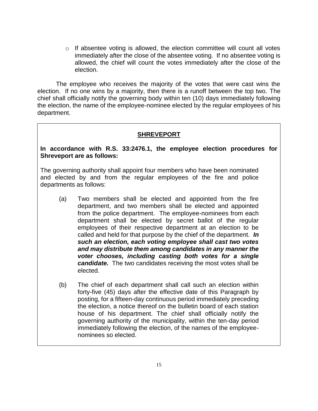$\circ$  If absentee voting is allowed, the election committee will count all votes immediately after the close of the absentee voting. If no absentee voting is allowed, the chief will count the votes immediately after the close of the election.

The employee who receives the majority of the votes that were cast wins the election. If no one wins by a majority, then there is a runoff between the top two. The chief shall officially notify the governing body within ten (10) days immediately following the election, the name of the employee-nominee elected by the regular employees of his department.

## **SHREVEPORT**

#### **In accordance with R.S. 33:2476.1, the employee election procedures for Shreveport are as follows:**

The governing authority shall appoint four members who have been nominated and elected by and from the regular employees of the fire and police departments as follows:

- (a) Two members shall be elected and appointed from the fire department, and two members shall be elected and appointed from the police department. The employee-nominees from each department shall be elected by secret ballot of the regular employees of their respective department at an election to be called and held for that purpose by the chief of the department. *In such an election, each voting employee shall cast two votes and may distribute them among candidates in any manner the voter chooses, including casting both votes for a single candidate.* The two candidates receiving the most votes shall be elected.
- (b) The chief of each department shall call such an election within forty-five (45) days after the effective date of this Paragraph by posting, for a fifteen-day continuous period immediately preceding the election, a notice thereof on the bulletin board of each station house of his department. The chief shall officially notify the governing authority of the municipality, within the ten-day period immediately following the election, of the names of the employeenominees so elected.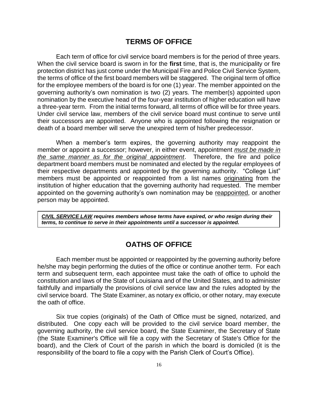#### **TERMS OF OFFICE**

<span id="page-16-0"></span>Each term of office for civil service board members is for the period of three years. When the civil service board is sworn in for the **first** time, that is, the municipality or fire protection district has just come under the Municipal Fire and Police Civil Service System, the terms of office of the first board members will be staggered. The original term of office for the employee members of the board is for one (1) year. The member appointed on the governing authority's own nomination is two (2) years. The member(s) appointed upon nomination by the executive head of the four-year institution of higher education will have a three-year term. From the initial terms forward, all terms of office will be for three years. Under civil service law, members of the civil service board must continue to serve until their successors are appointed. Anyone who is appointed following the resignation or death of a board member will serve the unexpired term of his/her predecessor.

When a member's term expires, the governing authority may reappoint the member or appoint a successor; however, in either event, appointment *must be made in the same manner as for the original appointment*. Therefore, the fire and police department board members must be nominated and elected by the regular employees of their respective departments and appointed by the governing authority. "College List" members must be appointed or reappointed from a list names originating from the institution of higher education that the governing authority had requested. The member appointed on the governing authority's own nomination may be reappointed, or another person may be appointed.

*CIVIL SERVICE LAW requires members whose terms have expired, or who resign during their terms, to continue to serve in their appointments until a successor is appointed.*

#### <span id="page-16-1"></span>**OATHS OF OFFICE**

Each member must be appointed or reappointed by the governing authority before he/she may begin performing the duties of the office or continue another term. For each term and subsequent term, each appointee must take the oath of office to uphold the constitution and laws of the State of Louisiana and of the United States, and to administer faithfully and impartially the provisions of civil service law and the rules adopted by the civil service board. The State Examiner, as notary ex officio, or other notary, may execute the oath of office.

Six true copies (originals) of the Oath of Office must be signed, notarized, and distributed. One copy each will be provided to the civil service board member, the governing authority, the civil service board, the State Examiner, the Secretary of State (the State Examiner's Office will file a copy with the Secretary of State's Office for the board), and the Clerk of Court of the parish in which the board is domiciled (it is the responsibility of the board to file a copy with the Parish Clerk of Court's Office).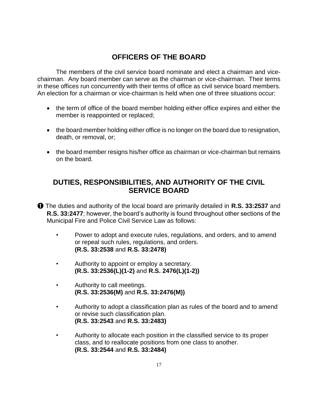# **OFFICERS OF THE BOARD**

<span id="page-17-0"></span>The members of the civil service board nominate and elect a chairman and vicechairman. Any board member can serve as the chairman or vice-chairman. Their terms in these offices run concurrently with their terms of office as civil service board members. An election for a chairman or vice-chairman is held when one of three situations occur:

- the term of office of the board member holding either office expires and either the member is reappointed or replaced;
- the board member holding either office is no longer on the board due to resignation, death, or removal, or;
- the board member resigns his/her office as chairman or vice-chairman but remains on the board.

# <span id="page-17-1"></span>**DUTIES, RESPONSIBILITIES, AND AUTHORITY OF THE CIVIL SERVICE BOARD**

➊ The duties and authority of the local board are primarily detailed in **R.S. 33:2537** and **R.S. 33:2477**; however, the board's authority is found throughout other sections of the Municipal Fire and Police Civil Service Law as follows:

- Power to adopt and execute rules, regulations, and orders, and to amend or repeal such rules, regulations, and orders. **(R.S. 33:2538** and **R.S. 33:2478)**
- Authority to appoint or employ a secretary. **(R.S. 33:2536(L)(1-2)** and **R.S. 2476(L)(1-2))**
- Authority to call meetings. **(R.S. 33:2536(M)** and **R.S. 33:2476(M))**
- Authority to adopt a classification plan as rules of the board and to amend or revise such classification plan. **(R.S. 33:2543** and **R.S. 33:2483)**
- Authority to allocate each position in the classified service to its proper class, and to reallocate positions from one class to another. **(R.S. 33:2544** and **R.S. 33:2484)**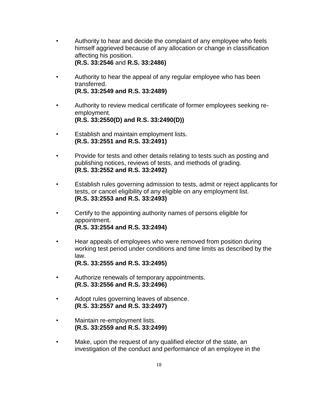- Authority to hear and decide the complaint of any employee who feels himself aggrieved because of any allocation or change in classification affecting his position. **(R.S. 33:2546** and **R.S. 33:2486)**
- Authority to hear the appeal of any regular employee who has been transferred. **(R.S. 33:2549 and R.S. 33:2489)**
- Authority to review medical certificate of former employees seeking reemployment. **(R.S. 33:2550(D) and R.S. 33:2490(D))**
- Establish and maintain employment lists. **(R.S. 33:2551 and R.S. 33:2491)**
- Provide for tests and other details relating to tests such as posting and publishing notices, reviews of tests, and methods of grading. **(R.S. 33:2552 and R.S. 33:2492)**
- Establish rules governing admission to tests, admit or reject applicants for tests, or cancel eligibility of any eligible on any employment list. **(R.S. 33:2553 and R.S. 33:2493)**
- Certify to the appointing authority names of persons eligible for appointment. **(R.S. 33:2554 and R.S. 33:2494)**
- Hear appeals of employees who were removed from position during working test period under conditions and time limits as described by the law. **(R.S. 33:2555 and R.S. 33:2495)**
- Authorize renewals of temporary appointments. **(R.S. 33:2556 and R.S. 33:2496)**
- Adopt rules governing leaves of absence. **(R.S. 33:2557 and R.S. 33:2497)**
- Maintain re-employment lists. **(R.S. 33:2559 and R.S. 33:2499)**
- Make, upon the request of any qualified elector of the state, an investigation of the conduct and performance of an employee in the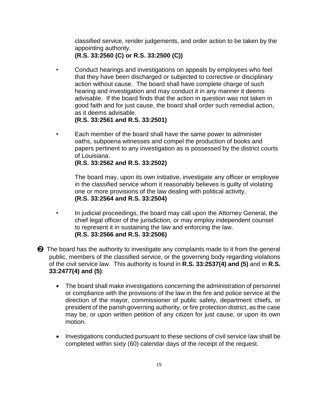classified service, render judgements, and order action to be taken by the appointing authority.

**(R.S. 33:2560 (C) or R.S. 33:2500 (C))**

- Conduct hearings and investigations on appeals by employees who feel that they have been discharged or subjected to corrective or disciplinary action without cause. The board shall have complete charge of such hearing and investigation and may conduct it in any manner it deems advisable. If the board finds that the action in question was not taken in good faith and for just cause, the board shall order such remedial action, as it deems advisable.
	- **(R.S. 33:2561 and R.S. 33:2501)**
- Each member of the board shall have the same power to administer oaths, subpoena witnesses and compel the production of books and papers pertinent to any investigation as is possessed by the district courts of Louisiana.

**(R.S. 33:2562 and R.S. 33:2502)**

The board may, upon its own initiative, investigate any officer or employee in the classified service whom it reasonably believes is guilty of violating one or more provisions of the law dealing with political activity. **(R.S. 33:2564 and R.S. 33:2504)**

• In judicial proceedings, the board may call upon the Attorney General, the chief legal officer of the jurisdiction, or may employ independent counsel to represent it in sustaining the law and enforcing the law. **(R.S. 33:2566 and R.S. 33:2506)**

 $\odot$  The board has the authority to investigate any complaints made to it from the general public, members of the classified service, or the governing body regarding violations of the civil service law. This authority is found in **R.S. 33:2537(4) and (5)** and in **R.S. 33:2477(4) and (5)**:

- The board shall make investigations concerning the administration of personnel or compliance with the provisions of the law in the fire and police service at the direction of the mayor, commissioner of public safety, department chiefs, or president of the parish governing authority, or fire protection district, as the case may be, or upon written petition of any citizen for just cause, or upon its own motion.
- Investigations conducted pursuant to these sections of civil service law shall be completed within sixty (60) calendar days of the receipt of the request.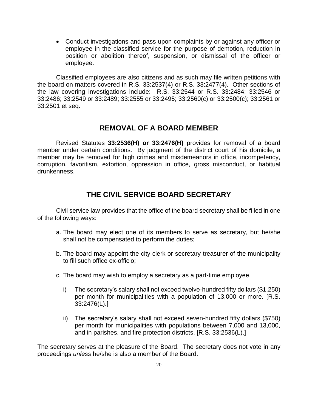• Conduct investigations and pass upon complaints by or against any officer or employee in the classified service for the purpose of demotion, reduction in position or abolition thereof, suspension, or dismissal of the officer or employee.

Classified employees are also citizens and as such may file written petitions with the board on matters covered in R.S. 33:2537(4) or R.S. 33:2477(4). Other sections of the law covering investigations include: R.S. 33:2544 or R.S. 33:2484; 33:2546 or 33:2486; 33:2549 or 33:2489; 33:2555 or 33:2495; 33:2560(c) or 33:2500(c); 33:2561 or 33:2501 et seq.

## **REMOVAL OF A BOARD MEMBER**

<span id="page-20-0"></span>Revised Statutes **33:2536(H) or 33:2476(H)** provides for removal of a board member under certain conditions. By judgment of the district court of his domicile, a member may be removed for high crimes and misdemeanors in office, incompetency, corruption, favoritism, extortion, oppression in office, gross misconduct, or habitual drunkenness.

# **THE CIVIL SERVICE BOARD SECRETARY**

<span id="page-20-1"></span>Civil service law provides that the office of the board secretary shall be filled in one of the following ways:

- a. The board may elect one of its members to serve as secretary, but he/she shall not be compensated to perform the duties;
- b. The board may appoint the city clerk or secretary-treasurer of the municipality to fill such office ex-officio;
- c. The board may wish to employ a secretary as a part-time employee.
	- i) The secretary's salary shall not exceed twelve-hundred fifty dollars (\$1,250) per month for municipalities with a population of 13,000 or more. [R.S. 33:2476(L).]
	- ii) The secretary's salary shall not exceed seven-hundred fifty dollars (\$750) per month for municipalities with populations between 7,000 and 13,000, and in parishes, and fire protection districts. [R.S. 33:2536(L).]

The secretary serves at the pleasure of the Board. The secretary does not vote in any proceedings *unless* he/she is also a member of the Board.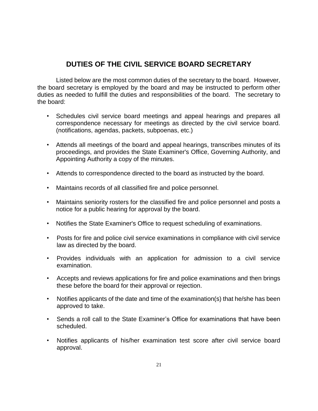# <span id="page-21-0"></span>**DUTIES OF THE CIVIL SERVICE BOARD SECRETARY**

Listed below are the most common duties of the secretary to the board. However, the board secretary is employed by the board and may be instructed to perform other duties as needed to fulfill the duties and responsibilities of the board. The secretary to the board:

- Schedules civil service board meetings and appeal hearings and prepares all correspondence necessary for meetings as directed by the civil service board. (notifications, agendas, packets, subpoenas, etc.)
- Attends all meetings of the board and appeal hearings, transcribes minutes of its proceedings, and provides the State Examiner's Office, Governing Authority, and Appointing Authority a copy of the minutes.
- Attends to correspondence directed to the board as instructed by the board.
- Maintains records of all classified fire and police personnel.
- Maintains seniority rosters for the classified fire and police personnel and posts a notice for a public hearing for approval by the board.
- Notifies the State Examiner's Office to request scheduling of examinations.
- Posts for fire and police civil service examinations in compliance with civil service law as directed by the board.
- Provides individuals with an application for admission to a civil service examination.
- Accepts and reviews applications for fire and police examinations and then brings these before the board for their approval or rejection.
- Notifies applicants of the date and time of the examination(s) that he/she has been approved to take.
- Sends a roll call to the State Examiner's Office for examinations that have been scheduled.
- Notifies applicants of his/her examination test score after civil service board approval.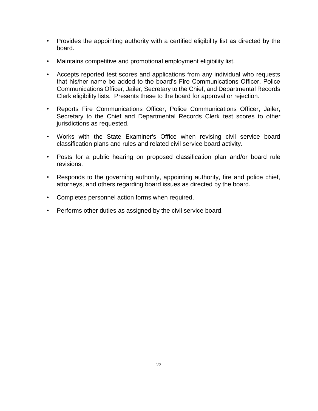- Provides the appointing authority with a certified eligibility list as directed by the board.
- Maintains competitive and promotional employment eligibility list.
- Accepts reported test scores and applications from any individual who requests that his/her name be added to the board's Fire Communications Officer, Police Communications Officer, Jailer, Secretary to the Chief, and Departmental Records Clerk eligibility lists. Presents these to the board for approval or rejection.
- Reports Fire Communications Officer, Police Communications Officer, Jailer, Secretary to the Chief and Departmental Records Clerk test scores to other jurisdictions as requested.
- Works with the State Examiner's Office when revising civil service board classification plans and rules and related civil service board activity.
- Posts for a public hearing on proposed classification plan and/or board rule revisions.
- Responds to the governing authority, appointing authority, fire and police chief, attorneys, and others regarding board issues as directed by the board.
- Completes personnel action forms when required.
- Performs other duties as assigned by the civil service board.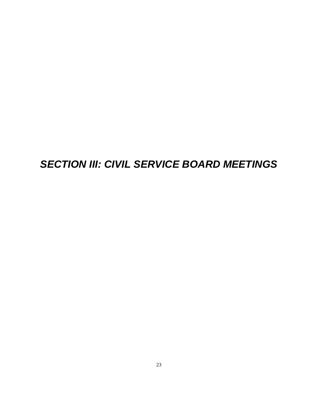# <span id="page-23-0"></span>*SECTION III: CIVIL SERVICE BOARD MEETINGS*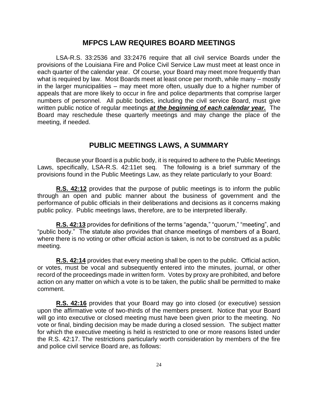#### **MFPCS LAW REQUIRES BOARD MEETINGS**

<span id="page-24-0"></span>LSA-R.S. 33:2536 and 33:2476 require that all civil service Boards under the provisions of the Louisiana Fire and Police Civil Service Law must meet at least once in each quarter of the calendar year. Of course, your Board may meet more frequently than what is required by law. Most Boards meet at least once per month, while many – mostly in the larger municipalities – may meet more often, usually due to a higher number of appeals that are more likely to occur in fire and police departments that comprise larger numbers of personnel. All public bodies, including the civil service Board, must give written public notice of regular meetings *at the beginning of each calendar year.* The Board may reschedule these quarterly meetings and may change the place of the meeting, if needed.

## **PUBLIC MEETINGS LAWS, A SUMMARY**

<span id="page-24-1"></span>Because your Board is a public body, it is required to adhere to the Public Meetings Laws, specifically, LSA-R.S. 42:11et seq. The following is a brief summary of the provisions found in the Public Meetings Law, as they relate particularly to your Board:

**R.S. 42:12** provides that the purpose of public meetings is to inform the public through an open and public manner about the business of government and the performance of public officials in their deliberations and decisions as it concerns making public policy. Public meetings laws, therefore, are to be interpreted liberally.

**R.S. 42:13** provides for definitions of the terms "agenda," "quorum," "meeting", and "public body." The statute also provides that chance meetings of members of a Board, where there is no voting or other official action is taken, is not to be construed as a public meeting.

**R.S. 42:14** provides that every meeting shall be open to the public. Official action, or votes, must be vocal and subsequently entered into the minutes, journal, or other record of the proceedings made in written form. Votes by proxy are prohibited, and before action on any matter on which a vote is to be taken, the public shall be permitted to make comment.

**R.S. 42:16** provides that your Board may go into closed (or executive) session upon the affirmative vote of two-thirds of the members present. Notice that your Board will go into executive or closed meeting must have been given prior to the meeting. No vote or final, binding decision may be made during a closed session. The subject matter for which the executive meeting is held is restricted to one or more reasons listed under the R.S. 42:17. The restrictions particularly worth consideration by members of the fire and police civil service Board are, as follows: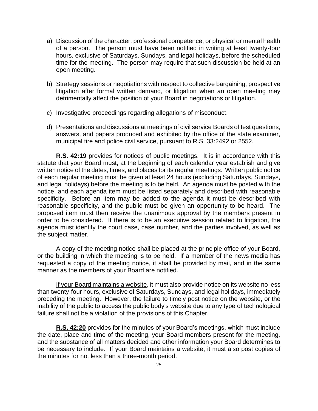- a) Discussion of the character, professional competence, or physical or mental health of a person. The person must have been notified in writing at least twenty-four hours, exclusive of Saturdays, Sundays, and legal holidays, before the scheduled time for the meeting. The person may require that such discussion be held at an open meeting.
- b) Strategy sessions or negotiations with respect to collective bargaining, prospective litigation after formal written demand, or litigation when an open meeting may detrimentally affect the position of your Board in negotiations or litigation.
- c) Investigative proceedings regarding allegations of misconduct.
- d) Presentations and discussions at meetings of civil service Boards of test questions, answers, and papers produced and exhibited by the office of the state examiner, municipal fire and police civil service, pursuant to R.S. 33:2492 or 2552.

**R.S. 42:19** provides for notices of public meetings. It is in accordance with this statute that your Board must, at the beginning of each calendar year establish and give written notice of the dates, times, and places for its regular meetings. Written public notice of each regular meeting must be given at least 24 hours (excluding Saturdays, Sundays, and legal holidays) before the meeting is to be held. An agenda must be posted with the notice, and each agenda item must be listed separately and described with reasonable specificity. Before an item may be added to the agenda it must be described with reasonable specificity, and the public must be given an opportunity to be heard. The proposed item must then receive the unanimous approval by the members present in order to be considered. If there is to be an executive session related to litigation, the agenda must identify the court case, case number, and the parties involved, as well as the subject matter.

A copy of the meeting notice shall be placed at the principle office of your Board, or the building in which the meeting is to be held. If a member of the news media has requested a copy of the meeting notice, it shall be provided by mail, and in the same manner as the members of your Board are notified.

If your Board maintains a website, it must also provide notice on its website no less than twenty-four hours, exclusive of Saturdays, Sundays, and legal holidays, immediately preceding the meeting. However, the failure to timely post notice on the website, or the inability of the public to access the public body's website due to any type of technological failure shall not be a violation of the provisions of this Chapter.

**R.S. 42:20** provides for the minutes of your Board's meetings, which must include the date, place and time of the meeting, your Board members present for the meeting, and the substance of all matters decided and other information your Board determines to be necessary to include. If your Board maintains a website, it must also post copies of the minutes for not less than a three-month period.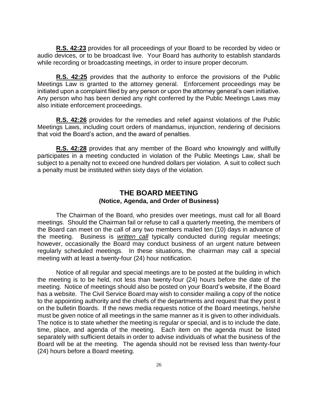**R.S. 42:23** provides for all proceedings of your Board to be recorded by video or audio devices, or to be broadcast live. Your Board has authority to establish standards while recording or broadcasting meetings, in order to insure proper decorum.

**R.S. 42:25** provides that the authority to enforce the provisions of the Public Meetings Law is granted to the attorney general. Enforcement proceedings may be initiated upon a complaint filed by any person or upon the attorney general's own initiative. Any person who has been denied any right conferred by the Public Meetings Laws may also initiate enforcement proceedings.

**R.S. 42:26** provides for the remedies and relief against violations of the Public Meetings Laws, including court orders of mandamus, injunction, rendering of decisions that void the Board's action, and the award of penalties.

**R.S. 42:28** provides that any member of the Board who knowingly and willfully participates in a meeting conducted in violation of the Public Meetings Law, shall be subject to a penalty not to exceed one hundred dollars per violation. A suit to collect such a penalty must be instituted within sixty days of the violation.

#### **THE BOARD MEETING (Notice, Agenda, and Order of Business)**

<span id="page-26-0"></span>The Chairman of the Board, who presides over meetings, must call for all Board meetings. Should the Chairman fail or refuse to call a quarterly meeting, the members of the Board can meet on the call of any two members mailed ten (10) days in advance of the meeting. Business is *written call* typically conducted during regular meetings; however, occasionally the Board may conduct business of an urgent nature between regularly scheduled meetings. In these situations, the chairman may call a special meeting with at least a twenty-four (24) hour notification.

Notice of all regular and special meetings are to be posted at the building in which the meeting is to be held, not less than twenty-four (24) hours before the date of the meeting. Notice of meetings should also be posted on your Board's website, if the Board has a website. The Civil Service Board may wish to consider mailing a copy of the notice to the appointing authority and the chiefs of the departments and request that they post it on the bulletin Boards. If the news media requests notice of the Board meetings, he/she must be given notice of all meetings in the same manner as it is given to other individuals. The notice is to state whether the meeting is regular or special, and is to include the date, time, place, and agenda of the meeting. Each item on the agenda must be listed separately with sufficient details in order to advise individuals of what the business of the Board will be at the meeting. The agenda should not be revised less than twenty-four (24) hours before a Board meeting.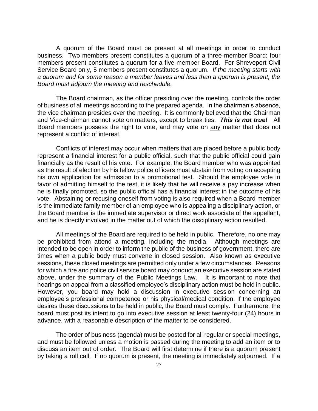A quorum of the Board must be present at all meetings in order to conduct business. Two members present constitutes a quorum of a three-member Board; four members present constitutes a quorum for a five-member Board. For Shreveport Civil Service Board only, 5 members present constitutes a quorum. *If the meeting starts with a quorum and for some reason a member leaves and less than a quorum is present, the Board must adjourn the meeting and reschedule.*

The Board chairman, as the officer presiding over the meeting, controls the order of business of all meetings according to the prepared agenda. In the chairman's absence, the vice chairman presides over the meeting. It is commonly believed that the Chairman and Vice-chairman cannot vote on matters, except to break ties. *This is not true!* All Board members possess the right to vote, and may vote on any matter that does not represent a conflict of interest.

Conflicts of interest may occur when matters that are placed before a public body represent a financial interest for a public official, such that the public official could gain financially as the result of his vote. For example, the Board member who was appointed as the result of election by his fellow police officers must abstain from voting on accepting his own application for admission to a promotional test. Should the employee vote in favor of admitting himself to the test, it is likely that he will receive a pay increase when he is finally promoted, so the public official has a financial interest in the outcome of his vote. Abstaining or recusing oneself from voting is also required when a Board member is the immediate family member of an employee who is appealing a disciplinary action, or the Board member is the immediate supervisor or direct work associate of the appellant, and he is directly involved in the matter out of which the disciplinary action resulted.

All meetings of the Board are required to be held in public. Therefore, no one may be prohibited from attend a meeting, including the media. Although meetings are intended to be open in order to inform the public of the business of government, there are times when a public body must convene in closed session. Also known as executive sessions, these closed meetings are permitted only under a few circumstances. Reasons for which a fire and police civil service board may conduct an executive session are stated above, under the summary of the Public Meetings Law. It is important to note that hearings on appeal from a classified employee's disciplinary action must be held in public. However, you board may hold a discussion in executive session concerning an employee's professional competence or his physical/medical condition. If the employee desires these discussions to be held in public, the Board must comply. Furthermore, the board must post its intent to go into executive session at least twenty-four (24) hours in advance, with a reasonable description of the matter to be considered.

The order of business (agenda) must be posted for all regular or special meetings, and must be followed unless a motion is passed during the meeting to add an item or to discuss an item out of order. The Board will first determine if there is a quorum present by taking a roll call. If no quorum is present, the meeting is immediately adjourned. If a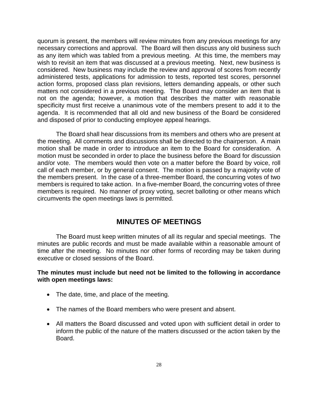quorum is present, the members will review minutes from any previous meetings for any necessary corrections and approval. The Board will then discuss any old business such as any item which was tabled from a previous meeting. At this time, the members may wish to revisit an item that was discussed at a previous meeting. Next, new business is considered. New business may include the review and approval of scores from recently administered tests, applications for admission to tests, reported test scores, personnel action forms, proposed class plan revisions, letters demanding appeals, or other such matters not considered in a previous meeting. The Board may consider an item that is not on the agenda; however, a motion that describes the matter with reasonable specificity must first receive a unanimous vote of the members present to add it to the agenda. It is recommended that all old and new business of the Board be considered and disposed of prior to conducting employee appeal hearings.

The Board shall hear discussions from its members and others who are present at the meeting. All comments and discussions shall be directed to the chairperson. A main motion shall be made in order to introduce an item to the Board for consideration. A motion must be seconded in order to place the business before the Board for discussion and/or vote. The members would then vote on a matter before the Board by voice, roll call of each member, or by general consent. The motion is passed by a majority vote of the members present. In the case of a three-member Board, the concurring votes of two members is required to take action. In a five-member Board, the concurring votes of three members is required. No manner of proxy voting, secret balloting or other means which circumvents the open meetings laws is permitted.

## **MINUTES OF MEETINGS**

<span id="page-28-0"></span>The Board must keep written minutes of all its regular and special meetings. The minutes are public records and must be made available within a reasonable amount of time after the meeting. No minutes nor other forms of recording may be taken during executive or closed sessions of the Board.

#### **The minutes must include but need not be limited to the following in accordance with open meetings laws:**

- The date, time, and place of the meeting.
- The names of the Board members who were present and absent.
- All matters the Board discussed and voted upon with sufficient detail in order to inform the public of the nature of the matters discussed or the action taken by the Board.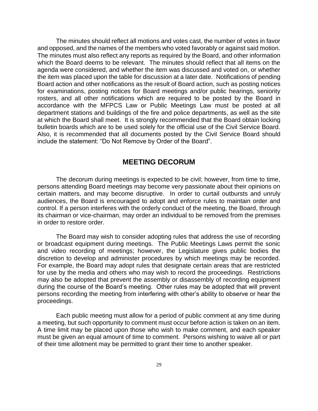The minutes should reflect all motions and votes cast, the number of votes in favor and opposed, and the names of the members who voted favorably or against said motion. The minutes must also reflect any reports as required by the Board, and other information which the Board deems to be relevant. The minutes should reflect that all items on the agenda were considered, and whether the item was discussed and voted on, or whether the item was placed upon the table for discussion at a later date. Notifications of pending Board action and other notifications as the result of Board action, such as posting notices for examinations, posting notices for Board meetings and/or public hearings, seniority rosters, and all other notifications which are required to be posted by the Board in accordance with the MFPCS Law or Public Meetings Law must be posted at all department stations and buildings of the fire and police departments, as well as the site at which the Board shall meet. It is strongly recommended that the Board obtain locking bulletin boards which are to be used solely for the official use of the Civil Service Board. Also, it is recommended that all documents posted by the Civil Service Board should include the statement: "Do Not Remove by Order of the Board".

## **MEETING DECORUM**

<span id="page-29-0"></span>The decorum during meetings is expected to be civil; however, from time to time, persons attending Board meetings may become very passionate about their opinions on certain matters, and may become disruptive. In order to curtail outbursts and unruly audiences, the Board is encouraged to adopt and enforce rules to maintain order and control. If a person interferes with the orderly conduct of the meeting, the Board, through its chairman or vice-chairman, may order an individual to be removed from the premises in order to restore order.

The Board may wish to consider adopting rules that address the use of recording or broadcast equipment during meetings. The Public Meetings Laws permit the sonic and video recording of meetings; however, the Legislature gives public bodies the discretion to develop and administer procedures by which meetings may be recorded. For example, the Board may adopt rules that designate certain areas that are restricted for use by the media and others who may wish to record the proceedings. Restrictions may also be adopted that prevent the assembly or disassembly of recording equipment during the course of the Board's meeting. Other rules may be adopted that will prevent persons recording the meeting from interfering with other's ability to observe or hear the proceedings.

Each public meeting must allow for a period of public comment at any time during a meeting, but such opportunity to comment must occur before action is taken on an item. A time limit may be placed upon those who wish to make comment, and each speaker must be given an equal amount of time to comment. Persons wishing to waive all or part of their time allotment may be permitted to grant their time to another speaker.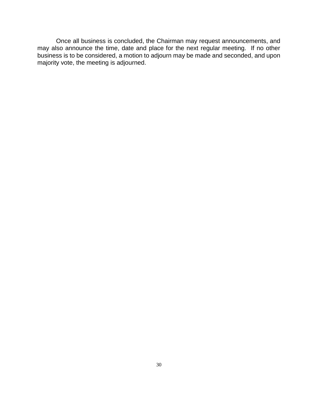Once all business is concluded, the Chairman may request announcements, and may also announce the time, date and place for the next regular meeting. If no other business is to be considered, a motion to adjourn may be made and seconded, and upon majority vote, the meeting is adjourned.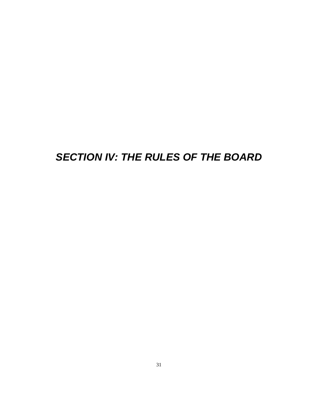# <span id="page-31-0"></span>*SECTION IV: THE RULES OF THE BOARD*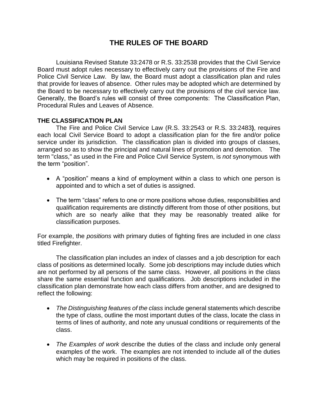# **THE RULES OF THE BOARD**

<span id="page-32-0"></span>Louisiana Revised Statute 33:2478 or R.S. 33:2538 provides that the Civil Service Board must adopt rules necessary to effectively carry out the provisions of the Fire and Police Civil Service Law. By law, the Board must adopt a classification plan and rules that provide for leaves of absence. Other rules may be adopted which are determined by the Board to be necessary to effectively carry out the provisions of the civil service law. Generally, the Board's rules will consist of three components: The Classification Plan, Procedural Rules and Leaves of Absence.

#### <span id="page-32-1"></span>**THE CLASSIFICATION PLAN**

The Fire and Police Civil Service Law (R.S. 33:2543 or R.S. 33:2483**)**, requires each local Civil Service Board to adopt a classification plan for the fire and/or police service under its jurisdiction. The classification plan is divided into groups of classes, arranged so as to show the principal and natural lines of promotion and demotion. The term "class," as used in the Fire and Police Civil Service System, is *not* synonymous with the term "position".

- A "position" means a kind of employment within a class to which one person is appointed and to which a set of duties is assigned.
- The term "class" refers to one or more positions whose duties, responsibilities and qualification requirements are distinctly different from those of other positions, but which are so nearly alike that they may be reasonably treated alike for classification purposes.

For example, the *positions* with primary duties of fighting fires are included in one *class* titled Firefighter.

The classification plan includes an index of classes and a job description for each class of positions as determined locally. Some job descriptions may include duties which are not performed by all persons of the same class. However, all positions in the class share the same essential function and qualifications. Job descriptions included in the classification plan demonstrate how each class differs from another, and are designed to reflect the following:

- *The Distinguishing features of the class* include general statements which describe the type of class, outline the most important duties of the class, locate the class in terms of lines of authority, and note any unusual conditions or requirements of the class.
- *The Examples of work* describe the duties of the class and include only general examples of the work. The examples are not intended to include all of the duties which may be required in positions of the class.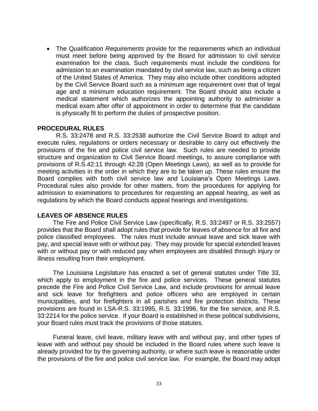• The Q*ualification Requirements* provide for the requirements which an individual must meet before being approved by the Board for admission to civil service examination for the class. Such requirements must include the conditions for admission to an examination mandated by civil service law, such as being a citizen of the United States of America. They may also include other conditions adopted by the Civil Service Board such as a minimum age requirement over that of legal age and a minimum education requirement. The Board should also include a medical statement which authorizes the appointing authority to administer a medical exam after offer of appointment in order to determine that the candidate is physically fit to perform the duties of prospective position.

#### <span id="page-33-0"></span>**PROCEDURAL RULES**

R.S. 33:2478 and R.S. 33:2538 authorize the Civil Service Board to adopt and execute rules, regulations or orders necessary or desirable to carry out effectively the provisions of the fire and police civil service law. Such rules are needed to provide structure and organization to Civil Service Board meetings, to assure compliance with provisions of R.S.42:11 through 42:28 (Open Meetings Laws), as well as to provide for meeting activities in the order in which they are to be taken up. These rules ensure the Board complies with both civil service law and Louisiana's Open Meetings Laws. Procedural rules also provide for other matters, from the procedures for applying for admission to examinations to procedures for requesting an appeal hearing, as well as regulations by which the Board conducts appeal hearings and investigations.

#### <span id="page-33-1"></span>**LEAVES OF ABSENCE RULES**

 The Fire and Police Civil Service Law (specifically, R.S. 33:2497 or R.S. 33:2557) provides that the Board shall adopt rules that provide for leaves of absence for all fire and police classified employees. The rules must include annual leave and sick leave with pay, and special leave with or without pay. They may provide for special extended leaves with or without pay or with reduced pay when employees are disabled through injury or illness resulting from their employment.

 The Louisiana Legislature has enacted a set of general statutes under Title 33, which apply to employment in the fire and police services. These general statutes precede the Fire and Police Civil Service Law, and include provisions for annual leave and sick leave for firefighters and police officers who are employed in certain municipalities, and for firefighters in all parishes and fire protection districts. These provisions are found in LSA-R.S. 33:1995, R.S. 33:1996, for the fire service, and R.S. 33:2214 for the police service. If your Board is established in these political subdivisions, your Board rules must track the provisions of those statutes.

 Funeral leave, civil leave, military leave with and without pay, and other types of leave with and without pay should be included in the Board rules where such leave is already provided for by the governing authority, or where such leave is reasonable under the provisions of the fire and police civil service law. For example, the Board may adopt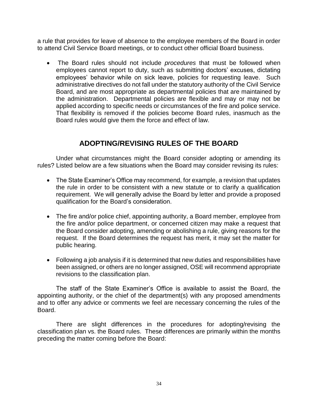a rule that provides for leave of absence to the employee members of the Board in order to attend Civil Service Board meetings, or to conduct other official Board business.

• The Board rules should not include *procedures* that must be followed when employees cannot report to duty, such as submitting doctors' excuses, dictating employees' behavior while on sick leave, policies for requesting leave. Such administrative directives do not fall under the statutory authority of the Civil Service Board, and are most appropriate as departmental policies that are maintained by the administration. Departmental policies are flexible and may or may not be applied according to specific needs or circumstances of the fire and police service. That flexibility is removed if the policies become Board rules, inasmuch as the Board rules would give them the force and effect of law.

# **ADOPTING/REVISING RULES OF THE BOARD**

<span id="page-34-0"></span>Under what circumstances might the Board consider adopting or amending its rules? Listed below are a few situations when the Board may consider revising its rules:

- The State Examiner's Office may recommend, for example, a revision that updates the rule in order to be consistent with a new statute or to clarify a qualification requirement. We will generally advise the Board by letter and provide a proposed qualification for the Board's consideration.
- The fire and/or police chief, appointing authority, a Board member, employee from the fire and/or police department, or concerned citizen may make a request that the Board consider adopting, amending or abolishing a rule, giving reasons for the request. If the Board determines the request has merit, it may set the matter for public hearing.
- Following a job analysis if it is determined that new duties and responsibilities have been assigned, or others are no longer assigned, OSE will recommend appropriate revisions to the classification plan.

The staff of the State Examiner's Office is available to assist the Board, the appointing authority, or the chief of the department(s) with any proposed amendments and to offer any advice or comments we feel are necessary concerning the rules of the Board.

There are slight differences in the procedures for adopting/revising the classification plan vs. the Board rules. These differences are primarily within the months preceding the matter coming before the Board: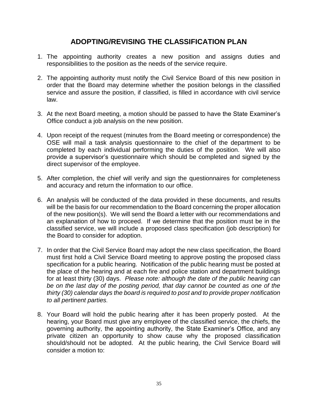# **ADOPTING/REVISING THE CLASSIFICATION PLAN**

- <span id="page-35-0"></span>1. The appointing authority creates a new position and assigns duties and responsibilities to the position as the needs of the service require.
- 2. The appointing authority must notify the Civil Service Board of this new position in order that the Board may determine whether the position belongs in the classified service and assure the position, if classified, is filled in accordance with civil service law.
- 3. At the next Board meeting, a motion should be passed to have the State Examiner's Office conduct a job analysis on the new position.
- 4. Upon receipt of the request (minutes from the Board meeting or correspondence) the OSE will mail a task analysis questionnaire to the chief of the department to be completed by each individual performing the duties of the position. We will also provide a supervisor's questionnaire which should be completed and signed by the direct supervisor of the employee.
- 5. After completion, the chief will verify and sign the questionnaires for completeness and accuracy and return the information to our office.
- 6. An analysis will be conducted of the data provided in these documents, and results will be the basis for our recommendation to the Board concerning the proper allocation of the new position(s). We will send the Board a letter with our recommendations and an explanation of how to proceed. If we determine that the position must be in the classified service, we will include a proposed class specification (job description) for the Board to consider for adoption.
- 7. In order that the Civil Service Board may adopt the new class specification, the Board must first hold a Civil Service Board meeting to approve posting the proposed class specification for a public hearing. Notification of the public hearing must be posted at the place of the hearing and at each fire and police station and department buildings for at least thirty (30) days. *Please note: although the date of the public hearing can be on the last day of the posting period, that day cannot be counted as one of the thirty (30) calendar days the board is required to post and to provide proper notification to all pertinent parties.*
- 8. Your Board will hold the public hearing after it has been properly posted. At the hearing, your Board must give any employee of the classified service, the chiefs, the governing authority, the appointing authority, the State Examiner's Office, and any private citizen an opportunity to show cause why the proposed classification should/should not be adopted. At the public hearing, the Civil Service Board will consider a motion to: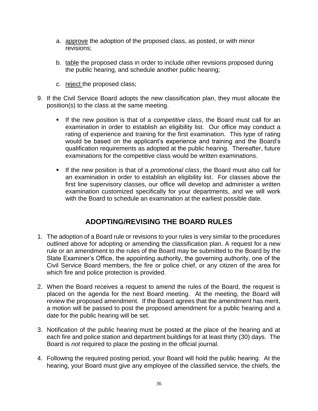- a. approve the adoption of the proposed class, as posted, or with minor revisions;
- b. table the proposed class in order to include other revisions proposed during the public hearing, and schedule another public hearing;
- c. reject the proposed class;
- 9. If the Civil Service Board adopts the new classification plan, they must allocate the position(s) to the class at the same meeting.
	- If the new position is that of a *competitive class*, the Board must call for an examination in order to establish an eligibility list. Our office may conduct a rating of experience and training for the first examination. This type of rating would be based on the applicant's experience and training and the Board's qualification requirements as adopted at the public hearing. Thereafter, future examinations for the competitive class would be written examinations.
	- If the new position is that of a *promotional class*, the Board must also call for an examination in order to establish an eligibility list. For classes above the first line supervisory classes, our office will develop and administer a written examination customized specifically for your departments, and we will work with the Board to schedule an examination at the earliest possible date.

# **ADOPTING/REVISING THE BOARD RULES**

- 1. The adoption of a Board rule or revisions to your rules is very similar to the procedures outlined above for adopting or amending the classification plan. A request for a new rule or an amendment to the rules of the Board may be submitted to the Board by the State Examiner's Office, the appointing authority, the governing authority, one of the Civil Service Board members, the fire or police chief, or any citizen of the area for which fire and police protection is provided.
- 2. When the Board receives a request to amend the rules of the Board, the request is placed on the agenda for the next Board meeting. At the meeting, the Board will review the proposed amendment. If the Board agrees that the amendment has merit, a motion will be passed to post the proposed amendment for a public hearing and a date for the public hearing will be set.
- 3. Notification of the public hearing must be posted at the place of the hearing and at each fire and police station and department buildings for at least thirty (30) days. The Board is *not* required to place the posting in the official journal.
- 4. Following the required posting period, your Board will hold the public hearing. At the hearing, your Board must give any employee of the classified service, the chiefs, the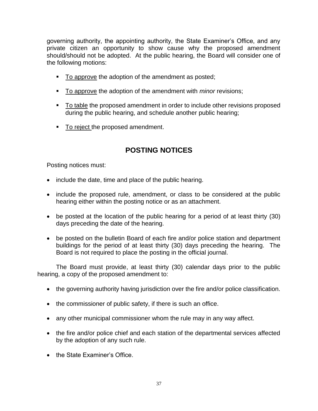governing authority, the appointing authority, the State Examiner's Office, and any private citizen an opportunity to show cause why the proposed amendment should/should not be adopted. At the public hearing, the Board will consider one of the following motions:

- To approve the adoption of the amendment as posted;
- To approve the adoption of the amendment with *minor* revisions;
- To table the proposed amendment in order to include other revisions proposed during the public hearing, and schedule another public hearing;
- To reject the proposed amendment.

# **POSTING NOTICES**

Posting notices must:

- include the date, time and place of the public hearing.
- include the proposed rule, amendment, or class to be considered at the public hearing either within the posting notice or as an attachment.
- be posted at the location of the public hearing for a period of at least thirty (30) days preceding the date of the hearing.
- be posted on the bulletin Board of each fire and/or police station and department buildings for the period of at least thirty (30) days preceding the hearing. The Board is not required to place the posting in the official journal.

The Board must provide, at least thirty (30) calendar days prior to the public hearing, a copy of the proposed amendment to:

- the governing authority having jurisdiction over the fire and/or police classification.
- the commissioner of public safety, if there is such an office.
- any other municipal commissioner whom the rule may in any way affect.
- the fire and/or police chief and each station of the departmental services affected by the adoption of any such rule.
- the State Examiner's Office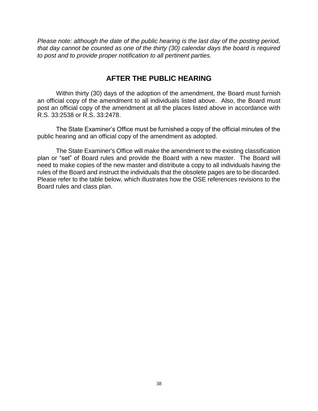*Please note: although the date of the public hearing is the last day of the posting period, that day cannot be counted as one of the thirty (30) calendar days the board is required to post and to provide proper notification to all pertinent parties.*

# **AFTER THE PUBLIC HEARING**

Within thirty (30) days of the adoption of the amendment, the Board must furnish an official copy of the amendment to all individuals listed above. Also, the Board must post an official copy of the amendment at all the places listed above in accordance with R.S. 33:2538 or R.S. 33:2478.

The State Examiner's Office must be furnished a copy of the official minutes of the public hearing and an official copy of the amendment as adopted.

The State Examiner's Office will make the amendment to the existing classification plan or "set" of Board rules and provide the Board with a new master. The Board will need to make copies of the new master and distribute a copy to all individuals having the rules of the Board and instruct the individuals that the obsolete pages are to be discarded. Please refer to the table below, which illustrates how the OSE references revisions to the Board rules and class plan.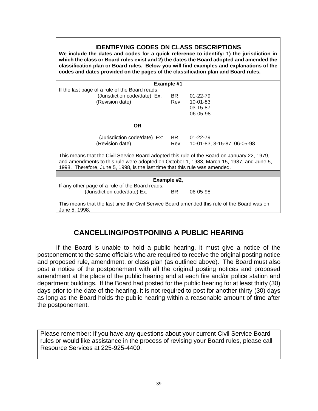| <b>IDENTIFYING CODES ON CLASS DESCRIPTIONS</b><br>We include the dates and codes for a quick reference to identify: 1) the jurisdiction in<br>which the class or Board rules exist and 2) the dates the Board adopted and amended the<br>classification plan or Board rules. Below you will find examples and explanations of the<br>codes and dates provided on the pages of the classification plan and Board rules. |            |                             |  |  |
|------------------------------------------------------------------------------------------------------------------------------------------------------------------------------------------------------------------------------------------------------------------------------------------------------------------------------------------------------------------------------------------------------------------------|------------|-----------------------------|--|--|
|                                                                                                                                                                                                                                                                                                                                                                                                                        | Example #1 |                             |  |  |
| If the last page of a rule of the Board reads:                                                                                                                                                                                                                                                                                                                                                                         |            |                             |  |  |
| (Jurisdiction code/date) Ex:                                                                                                                                                                                                                                                                                                                                                                                           | BR I       | $01 - 22 - 79$              |  |  |
| (Revision date)                                                                                                                                                                                                                                                                                                                                                                                                        | Rev        | $10 - 01 - 83$              |  |  |
|                                                                                                                                                                                                                                                                                                                                                                                                                        |            | 03-15-87                    |  |  |
|                                                                                                                                                                                                                                                                                                                                                                                                                        |            | 06-05-98                    |  |  |
| <b>OR</b>                                                                                                                                                                                                                                                                                                                                                                                                              |            |                             |  |  |
| (Jurisdiction code/date) Ex:                                                                                                                                                                                                                                                                                                                                                                                           | <b>BR</b>  | $01 - 22 - 79$              |  |  |
| (Revision date)                                                                                                                                                                                                                                                                                                                                                                                                        | Rev        | 10-01-83, 3-15-87, 06-05-98 |  |  |
| This means that the Civil Service Board adopted this rule of the Board on January 22, 1979,<br>and amendments to this rule were adopted on October 1, 1983, March 15, 1987, and June 5,<br>1998. Therefore, June 5, 1998, is the last time that this rule was amended.                                                                                                                                                 |            |                             |  |  |
|                                                                                                                                                                                                                                                                                                                                                                                                                        |            |                             |  |  |
| Example #2,                                                                                                                                                                                                                                                                                                                                                                                                            |            |                             |  |  |
| If any other page of a rule of the Board reads:                                                                                                                                                                                                                                                                                                                                                                        |            |                             |  |  |
| (Jurisdiction code/date) Ex:                                                                                                                                                                                                                                                                                                                                                                                           | BR.        | 06-05-98                    |  |  |
| This means that the last time the Civil Service Board amended this rule of the Board was on<br>June 5, 1998.                                                                                                                                                                                                                                                                                                           |            |                             |  |  |

# **CANCELLING/POSTPONING A PUBLIC HEARING**

If the Board is unable to hold a public hearing, it must give a notice of the postponement to the same officials who are required to receive the original posting notice and proposed rule, amendment, or class plan (as outlined above). The Board must also post a notice of the postponement with all the original posting notices and proposed amendment at the place of the public hearing and at each fire and/or police station and department buildings. If the Board had posted for the public hearing for at least thirty (30) days prior to the date of the hearing, it is not required to post for another thirty (30) days as long as the Board holds the public hearing within a reasonable amount of time after the postponement.

Please remember: If you have any questions about your current Civil Service Board rules or would like assistance in the process of revising your Board rules, please call Resource Services at 225-925-4400.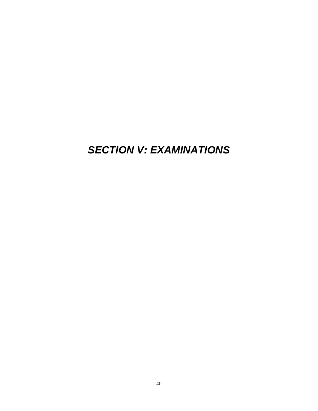# *SECTION V: EXAMINATIONS*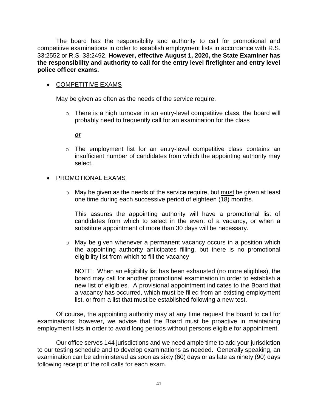The board has the responsibility and authority to call for promotional and competitive examinations in order to establish employment lists in accordance with R.S. 33:2552 or R.S. 33:2492. **However, effective August 1, 2020, the State Examiner has the responsibility and authority to call for the entry level firefighter and entry level police officer exams.** 

### • COMPETITIVE EXAMS

May be given as often as the needs of the service require.

o There is a high turnover in an entry-level competitive class, the board will probably need to frequently call for an examination for the class

#### *or*

o The employment list for an entry-level competitive class contains an insufficient number of candidates from which the appointing authority may select.

### • PROMOTIONAL EXAMS

o May be given as the needs of the service require, but must be given at least one time during each successive period of eighteen (18) months.

This assures the appointing authority will have a promotional list of candidates from which to select in the event of a vacancy, or when a substitute appointment of more than 30 days will be necessary.

o May be given whenever a permanent vacancy occurs in a position which the appointing authority anticipates filling, but there is no promotional eligibility list from which to fill the vacancy

NOTE: When an eligibility list has been exhausted (no more eligibles), the board may call for another promotional examination in order to establish a new list of eligibles. A provisional appointment indicates to the Board that a vacancy has occurred, which must be filled from an existing employment list, or from a list that must be established following a new test.

Of course, the appointing authority may at any time request the board to call for examinations; however, we advise that the Board must be proactive in maintaining employment lists in order to avoid long periods without persons eligible for appointment.

Our office serves 144 jurisdictions and we need ample time to add your jurisdiction to our testing schedule and to develop examinations as needed. Generally speaking, an examination can be administered as soon as sixty (60) days or as late as ninety (90) days following receipt of the roll calls for each exam.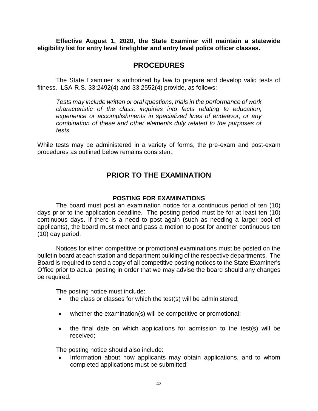**Effective August 1, 2020, the State Examiner will maintain a statewide eligibility list for entry level firefighter and entry level police officer classes.** 

# **PROCEDURES**

The State Examiner is authorized by law to prepare and develop valid tests of fitness. LSA-R.S. 33:2492(4) and 33:2552(4) provide, as follows:

*Tests may include written or oral questions, trials in the performance of work characteristic of the class, inquiries into facts relating to education, experience or accomplishments in specialized lines of endeavor, or any combination of these and other elements duly related to the purposes of tests.*

While tests may be administered in a variety of forms, the pre-exam and post-exam procedures as outlined below remains consistent.

# **PRIOR TO THE EXAMINATION**

#### **POSTING FOR EXAMINATIONS**

The board must post an examination notice for a continuous period of ten (10) days prior to the application deadline. The posting period must be for at least ten (10) continuous days. If there is a need to post again (such as needing a larger pool of applicants), the board must meet and pass a motion to post for another continuous ten (10) day period.

Notices for either competitive or promotional examinations must be posted on the bulletin board at each station and department building of the respective departments. The Board is required to send a copy of all competitive posting notices to the State Examiner's Office prior to actual posting in order that we may advise the board should any changes be required.

The posting notice must include:

- the class or classes for which the test(s) will be administered;
- whether the examination(s) will be competitive or promotional;
- the final date on which applications for admission to the test(s) will be received;

The posting notice should also include:

• Information about how applicants may obtain applications, and to whom completed applications must be submitted;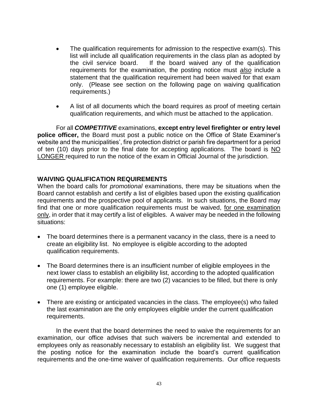- The qualification requirements for admission to the respective exam(s). This list will include all qualification requirements in the class plan as adopted by the civil service board. If the board waived any of the qualification requirements for the examination, the posting notice must *also* include a statement that the qualification requirement had been waived for that exam only. (Please see section on the following page on waiving qualification requirements.)
- A list of all documents which the board requires as proof of meeting certain qualification requirements, and which must be attached to the application.

For all *COMPETITIVE* examinations, **except entry level firefighter or entry level police officer,** the Board must post a public notice on the Office of State Examiner's website and the municipalities', fire protection district or parish fire department for a period of ten (10) days prior to the final date for accepting applications. The board is NO LONGER required to run the notice of the exam in Official Journal of the jurisdiction.

#### **WAIVING QUALIFICATION REQUIREMENTS**

When the board calls for *promotional* examinations, there may be situations when the Board cannot establish and certify a list of eligibles based upon the existing qualification requirements and the prospective pool of applicants. In such situations, the Board may find that one or more qualification requirements must be waived, for one examination only, in order that it may certify a list of eligibles. A waiver may be needed in the following situations:

- The board determines there is a permanent vacancy in the class, there is a need to create an eligibility list. No employee is eligible according to the adopted qualification requirements.
- The Board determines there is an insufficient number of eligible employees in the next lower class to establish an eligibility list, according to the adopted qualification requirements. For example: there are two (2) vacancies to be filled, but there is only one (1) employee eligible.
- There are existing or anticipated vacancies in the class. The employee(s) who failed the last examination are the only employees eligible under the current qualification requirements.

In the event that the board determines the need to waive the requirements for an examination, our office advises that such waivers be incremental and extended to employees only as reasonably necessary to establish an eligibility list. We suggest that the posting notice for the examination include the board's current qualification requirements and the one-time waiver of qualification requirements. Our office requests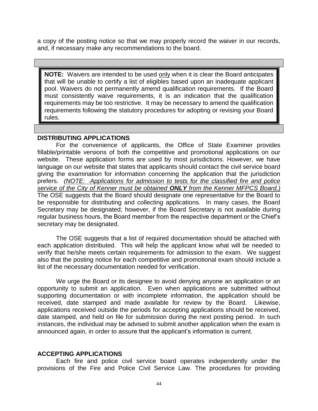a copy of the posting notice so that we may properly record the waiver in our records, and, if necessary make any recommendations to the board.

**NOTE:** Waivers are intended to be used only when it is clear the Board anticipates that will be unable to certify a list of eligibles based upon an inadequate applicant pool. Waivers do not permanently amend qualification requirements. If the Board must consistently waive requirements, it is an indication that the qualification requirements may be too restrictive. It may be necessary to amend the qualification requirements following the statutory procedures for adopting or revising your Board rules.

#### **DISTRIBUTING APPLICATIONS**

For the convenience of applicants, the Office of State Examiner provides fillable/printable versions of both the competitive and promotional applications on our website. These application forms are used by most jurisdictions. However, we have language on our website that states that applicants should contact the civil service board giving the examination for information concerning the application that the jurisdiction prefers. *(NOTE: Applications for admission to tests for the classified fire and police service of the City of Kenner must be obtained ONLY from the Kenner MFPCS Board.)* The OSE suggests that the Board should designate one representative for the Board to be responsible for distributing and collecting applications. In many cases, the Board Secretary may be designated; however, if the Board Secretary is not available during regular business hours, the Board member from the respective department or the Chief's secretary may be designated.

The OSE suggests that a list of required documentation should be attached with each application distributed. This will help the applicant know what will be needed to verify that he/she meets certain requirements for admission to the exam. We suggest also that the posting notice for each competitive and promotional exam should include a list of the necessary documentation needed for verification.

We urge the Board or its designee to avoid denying anyone an application or an opportunity to submit an application.Even when applications are submitted without supporting documentation or with incomplete information, the application should be received, date stamped and made available for review by the Board. Likewise, applications received outside the periods for accepting applications should be received, date stamped, and held on file for submission during the next posting period. In such instances, the individual may be advised to submit another application when the exam is announced again, in order to assure that the applicant's information is current.

#### **ACCEPTING APPLICATIONS**

Each fire and police civil service board operates independently under the provisions of the Fire and Police Civil Service Law. The procedures for providing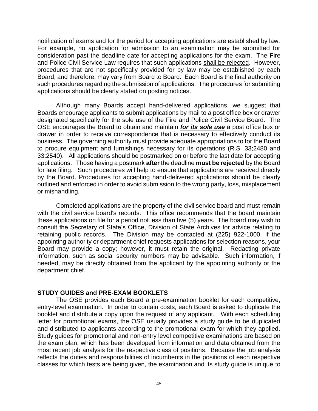notification of exams and for the period for accepting applications are established by law. For example, no application for admission to an examination may be submitted for consideration past the deadline date for accepting applications for the exam. The Fire and Police Civil Service Law requires that such applications shall be rejected. However, procedures that are not specifically provided for by law may be established by each Board, and therefore, may vary from Board to Board. Each Board is the final authority on such procedures regarding the submission of applications. The procedures for submitting applications should be clearly stated on posting notices.

Although many Boards accept hand-delivered applications, we suggest that Boards encourage applicants to submit applications by mail to a post office box or drawer designated specifically for the sole use of the Fire and Police Civil Service Board. The OSE encourages the Board to obtain and maintain *for its sole use* a post office box or drawer in order to receive correspondence that is necessary to effectively conduct its business. The governing authority must provide adequate appropriations to for the Board to procure equipment and furnishings necessary for its operations (R.S. 33;2480 and 33:2540). All applications should be postmarked on or before the last date for accepting applications. Those having a postmark **after** the deadline **must be rejected** by the Board for late filing. Such procedures will help to ensure that applications are received directly by the Board. Procedures for accepting hand-delivered applications should be clearly outlined and enforced in order to avoid submission to the wrong party, loss, misplacement or mishandling.

Completed applications are the property of the civil service board and must remain with the civil service board's records. This office recommends that the board maintain these applications on file for a period not less than five (5) years. The board may wish to consult the Secretary of State's Office, Division of State Archives for advice relating to retaining public records. The Division may be contacted at (225) 922-1000. If the appointing authority or department chief requests applications for selection reasons, your Board may provide a copy; however, it must retain the original. Redacting private information, such as social security numbers may be advisable. Such information, if needed, may be directly obtained from the applicant by the appointing authority or the department chief.

#### **STUDY GUIDES and PRE-EXAM BOOKLETS**

The OSE provides each Board a pre-examination booklet for each competitive, entry-level examination. In order to contain costs, each Board is asked to duplicate the booklet and distribute a copy upon the request of any applicant. With each scheduling letter for promotional exams, the OSE usually provides a study guide to be duplicated and distributed to applicants according to the promotional exam for which they applied. Study guides for promotional and non-entry level competitive examinations are based on the exam plan, which has been developed from information and data obtained from the most recent job analysis for the respective class of positions. Because the job analysis reflects the duties and responsibilities of incumbents in the positions of each respective classes for which tests are being given, the examination and its study guide is unique to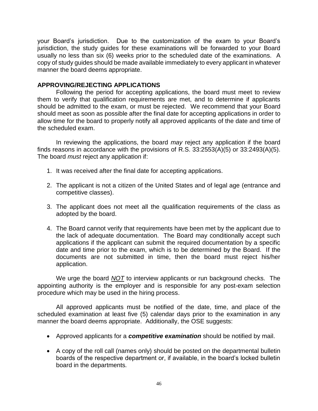your Board's jurisdiction. Due to the customization of the exam to your Board's jurisdiction, the study guides for these examinations will be forwarded to your Board usually no less than six (6) weeks prior to the scheduled date of the examinations. A copy of study guides should be made available immediately to every applicant in whatever manner the board deems appropriate.

## **APPROVING/REJECTING APPLICATIONS**

Following the period for accepting applications, the board must meet to review them to verify that qualification requirements are met, and to determine if applicants should be admitted to the exam, or must be rejected. We recommend that your Board should meet as soon as possible after the final date for accepting applications in order to allow time for the board to properly notify all approved applicants of the date and time of the scheduled exam.

In reviewing the applications, the board *may* reject any application if the board finds reasons in accordance with the provisions of R.S.  $33:2553(A)(5)$  or  $33:2493(A)(5)$ . The board *must* reject any application if:

- 1. It was received after the final date for accepting applications.
- 2. The applicant is not a citizen of the United States and of legal age (entrance and competitive classes).
- 3. The applicant does not meet all the qualification requirements of the class as adopted by the board.
- 4. The Board cannot verify that requirements have been met by the applicant due to the lack of adequate documentation. The Board may conditionally accept such applications if the applicant can submit the required documentation by a specific date and time prior to the exam, which is to be determined by the Board. If the documents are not submitted in time, then the board must reject his/her application.

We urge the board *NOT* to interview applicants or run background checks. The appointing authority is the employer and is responsible for any post-exam selection procedure which may be used in the hiring process.

All approved applicants must be notified of the date, time, and place of the scheduled examination at least five (5) calendar days prior to the examination in any manner the board deems appropriate. Additionally, the OSE suggests:

- Approved applicants for a *competitive examination* should be notified by mail.
- A copy of the roll call (names only) should be posted on the departmental bulletin boards of the respective department or, if available, in the board's locked bulletin board in the departments*.*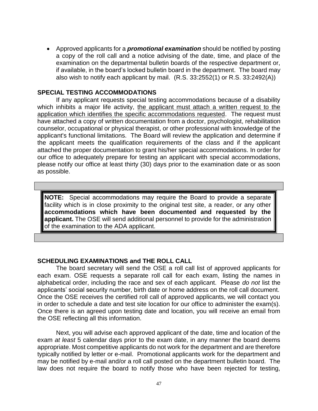• Approved applicants for a *promotional examination* should be notified by posting a copy of the roll call and a notice advising of the date, time, and place of the examination on the departmental bulletin boards of the respective department or, if available, in the board's locked bulletin board in the department. The board may also wish to notify each applicant by mail.(R.S. 33:2552(1) or R.S. 33:2492(A))

#### **SPECIAL TESTING ACCOMMODATIONS**

If any applicant requests special testing accommodations because of a disability which inhibits a major life activity, the applicant must attach a written request to the application which identifies the specific accommodations requested. The request must have attached a copy of written documentation from a doctor, psychologist, rehabilitation counselor, occupational or physical therapist, or other professional with knowledge of the applicant's functional limitations. The Board will review the application and determine if the applicant meets the qualification requirements of the class and if the applicant attached the proper documentation to grant his/her special accommodations. In order for our office to adequately prepare for testing an applicant with special accommodations, please notify our office at least thirty (30) days prior to the examination date or as soon as possible.

**NOTE:** Special accommodations may require the Board to provide a separate facility which is in close proximity to the original test site, a reader, or any other **accommodations which have been documented and requested by the applicant.** The OSE will send additional personnel to provide for the administration of the examination to the ADA applicant.

### **SCHEDULING EXAMINATIONS and THE ROLL CALL**

The board secretary will send the OSE a roll call list of approved applicants for each exam. OSE requests a separate roll call for each exam, listing the names in alphabetical order, including the race and sex of each applicant. Please *do not* list the applicants' social security number, birth date or home address on the roll call document. Once the OSE receives the certified roll call of approved applicants, we will contact you in order to schedule a date and test site location for our office to administer the exam(s). Once there is an agreed upon testing date and location, you will receive an email from the OSE reflecting all this information.

Next, you will advise each approved applicant of the date, time and location of the exam *at least* 5 calendar days prior to the exam date, in any manner the board deems appropriate. Most competitive applicants do not work for the department and are therefore typically notified by letter or e-mail. Promotional applicants work for the department and may be notified by e-mail and/or a roll call posted on the department bulletin board. The law does not require the board to notify those who have been rejected for testing,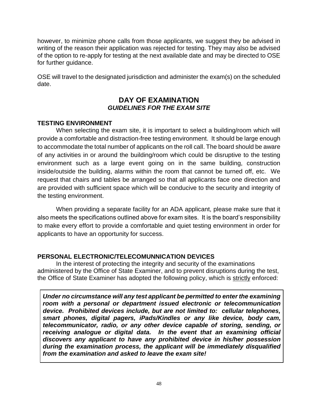however, to minimize phone calls from those applicants, we suggest they be advised in writing of the reason their application was rejected for testing. They may also be advised of the option to re-apply for testing at the next available date and may be directed to OSE for further guidance.

OSE will travel to the designated jurisdiction and administer the exam(s) on the scheduled date.

## **DAY OF EXAMINATION** *GUIDELINES FOR THE EXAM SITE*

## **TESTING ENVIRONMENT**

When selecting the exam site, it is important to select a building/room which will provide a comfortable and distraction-free testing environment. It should be large enough to accommodate the total number of applicants on the roll call. The board should be aware of any activities in or around the building/room which could be disruptive to the testing environment such as a large event going on in the same building, construction inside/outside the building, alarms within the room that cannot be turned off, etc. We request that chairs and tables be arranged so that all applicants face one direction and are provided with sufficient space which will be conducive to the security and integrity of the testing environment.

When providing a separate facility for an ADA applicant, please make sure that it also meets the specifications outlined above for exam sites. It is the board's responsibility to make every effort to provide a comfortable and quiet testing environment in order for applicants to have an opportunity for success.

## **PERSONAL ELECTRONIC/TELECOMUNNICATION DEVICES**

In the interest of protecting the integrity and security of the examinations administered by the Office of State Examiner, and to prevent disruptions during the test, the Office of State Examiner has adopted the following policy, which is strictly enforced:

*Under no circumstance will any test applicant be permitted to enter the examining room with a personal or department issued electronic or telecommunication device. Prohibited devices include, but are not limited to: cellular telephones, smart phones, digital pagers, iPads/Kindles or any like device, body cam, telecommunicator, radio, or any other device capable of storing, sending, or receiving analogue or digital data. In the event that an examining official discovers any applicant to have any prohibited device in his/her possession during the examination process, the applicant will be immediately disqualified from the examination and asked to leave the exam site!*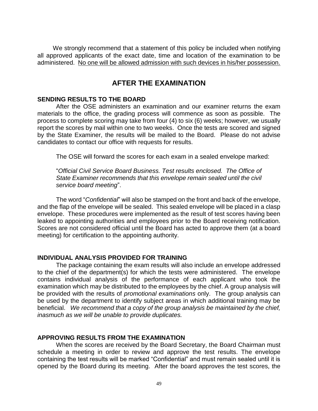We strongly recommend that a statement of this policy be included when notifying all approved applicants of the exact date, time and location of the examination to be administered. No one will be allowed admission with such devices in his/her possession.

# **AFTER THE EXAMINATION**

#### **SENDING RESULTS TO THE BOARD**

After the OSE administers an examination and our examiner returns the exam materials to the office, the grading process will commence as soon as possible. The process to complete scoring may take from four (4) to six (6) weeks; however, we usually report the scores by mail within one to two weeks. Once the tests are scored and signed by the State Examiner, the results will be mailed to the Board. Please do not advise candidates to contact our office with requests for results.

The OSE will forward the scores for each exam in a sealed envelope marked:

"*Official Civil Service Board Business. Test results enclosed. The Office of State Examiner recommends that this envelope remain sealed until the civil service board meeting*".

The word "*Confidential*" will also be stamped on the front and back of the envelope, and the flap of the envelope will be sealed. This sealed envelope will be placed in a clasp envelope. These procedures were implemented as the result of test scores having been leaked to appointing authorities and employees prior to the Board receiving notification. Scores are not considered official until the Board has acted to approve them (at a board meeting) for certification to the appointing authority.

#### **INDIVIDUAL ANALYSIS PROVIDED FOR TRAINING**

The package containing the exam results will also include an envelope addressed to the chief of the department(s) for which the tests were administered. The envelope contains individual analysis of the performance of each applicant who took the examination which may be distributed to the employees by the chief. A group analysis will be provided with the results of *promotional examinations* only. The group analysis can be used by the department to identify subject areas in which additional training may be beneficial. *We recommend that a copy of the group analysis be maintained by the chief, inasmuch as we will be unable to provide duplicates.*

#### **APPROVING RESULTS FROM THE EXAMINATION**

When the scores are received by the Board Secretary, the Board Chairman must schedule a meeting in order to review and approve the test results. The envelope containing the test results will be marked "Confidential" and must remain sealed until it is opened by the Board during its meeting. After the board approves the test scores, the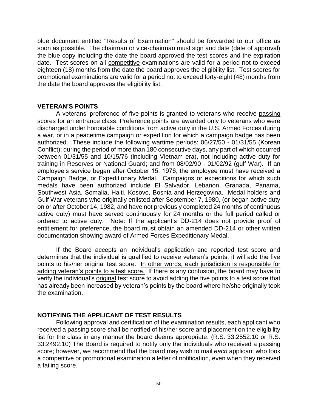blue document entitled "Results of Examination" should be forwarded to our office as soon as possible. The chairman or vice-chairman must sign and date (date of approval) the blue copy including the date the board approved the test scores and the expiration date. Test scores on all competitive examinations are valid for a period not to exceed eighteen (18) months from the date the board approves the eligibility list. Test scores for promotional examinations are valid for a period not to exceed forty-eight (48) months from the date the board approves the eligibility list.

#### **VETERAN'S POINTS**

A veterans' preference of five-points is granted to veterans who receive passing scores for an entrance class. Preference points are awarded only to veterans who were discharged under honorable conditions from active duty in the U.S. Armed Forces during a war, or in a peacetime campaign or expedition for which a campaign badge has been authorized. These include the following wartime periods: 06/27/50 - 01/31/55 (Korean Conflict); during the period of more than 180 consecutive days, any part of which occurred between 01/31/55 and 10/15/76 (including Vietnam era), not including active duty for training in Reserves or National Guard; and from 08/02/90 - 01/02/92 (gulf War). If an employee's service began after October 15, 1976, the employee must have received a Campaign Badge, or Expeditionary Medal. Campaigns or expeditions for which such medals have been authorized include El Salvador, Lebanon, Granada, Panama, Southwest Asia, Somalia, Haiti, Kosovo, Bosnia and Herzegovina. Medal holders and Gulf War veterans who originally enlisted after September 7, 1980, (or began active duty on or after October 14, 1982, and have not previously completed 24 months of continuous active duty) must have served continuously for 24 months or the full period called or ordered to active duty. Note: If the applicant's DD-214 does not provide proof of entitlement for preference, the board must obtain an amended DD-214 or other written documentation showing award of Armed Forces Expeditionary Medal.

If the Board accepts an individual's application and reported test score and determines that the individual is qualified to receive veteran's points, it will add the five points to his/her original test score. In other words, each jurisdiction is responsible for adding veteran's points to a test score. If there is any confusion, the board may have to verify the individual's original test score to avoid adding the five points to a test score that has already been increased by veteran's points by the board where he/she originally took the examination.

### **NOTIFYING THE APPLICANT OF TEST RESULTS**

Following approval and certification of the examination results, each applicant who received a passing score shall be notified of his/her score and placement on the eligibility list for the class in any manner the board deems appropriate. (R.S. 33:2552.10 or R.S. 33:2492.10) The Board is required to notify only the individuals who received a passing score; however, we recommend that the board may wish to mail *each* applicant who took a competitive or promotional examination a letter of notification, even when they received a failing score.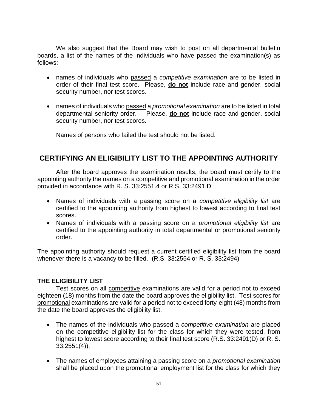We also suggest that the Board may wish to post on all departmental bulletin boards, a list of the names of the individuals who have passed the examination(s) as follows:

- names of individuals who passed a *competitive examination* are to be listed in order of their final test score. Please, **do not** include race and gender, social security number, nor test scores.
- names of individuals who passed a *promotional examination* are to be listed in total departmental seniority order. Please, **do not** include race and gender, social security number, nor test scores.

Names of persons who failed the test should not be listed.

# **CERTIFYING AN ELIGIBILITY LIST TO THE APPOINTING AUTHORITY**

After the board approves the examination results, the board must certify to the appointing authority the names on a competitive and promotional examination in the order provided in accordance with R. S. 33:2551.4 or R.S. 33:2491.D

- Names of individuals with a passing score on a *competitive eligibility list* are certified to the appointing authority from highest to lowest according to final test scores.
- Names of individuals with a passing score on a *promotional eligibility list* are certified to the appointing authority in total departmental or promotional seniority order.

The appointing authority should request a current certified eligibility list from the board whenever there is a vacancy to be filled. (R.S. 33:2554 or R. S. 33:2494)

### **THE ELIGIBILITY LIST**

Test scores on all competitive examinations are valid for a period not to exceed eighteen (18) months from the date the board approves the eligibility list. Test scores for promotional examinations are valid for a period not to exceed forty-eight (48) months from the date the board approves the eligibility list.

- The names of the individuals who passed a *competitive examination* are placed on the competitive eligibility list for the class for which they were tested, from highest to lowest score according to their final test score (R.S. 33:2491(D) or R. S. 33:2551(4)).
- The names of employees attaining a passing score on a *promotional examination* shall be placed upon the promotional employment list for the class for which they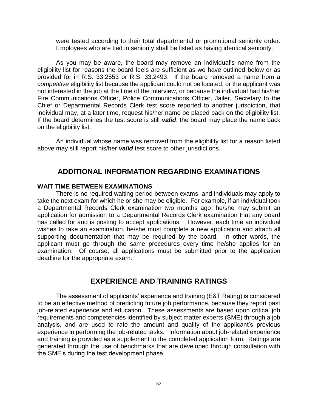were tested according to their total departmental or promotional seniority order. Employees who are tied in seniority shall be listed as having identical seniority.

As you may be aware, the board may remove an individual's name from the eligibility list for reasons the board feels are sufficient as we have outlined below or as provided for in R.S. 33:2553 or R.S. 33:2493. If the board removed a name from a *competitive* eligibility list because the applicant could not be located, or the applicant was not interested in the job at the time of the interview, or because the individual had his/her Fire Communications Officer, Police Communications Officer, Jailer, Secretary to the Chief or Departmental Records Clerk test score reported to another jurisdiction, that individual may, at a later time, request his/her name be placed back on the eligibility list. If the board determines the test score is still *valid*, the board may place the name back on the eligibility list.

An individual whose name was removed from the eligibility list for a reason listed above may still report his/her *valid* test score to other jurisdictions.

## **ADDITIONAL INFORMATION REGARDING EXAMINATIONS**

#### **WAIT TIME BETWEEN EXAMINATIONS**

There is no required waiting period between exams, and individuals may apply to take the next exam for which he or she may be eligible. For example, if an individual took a Departmental Records Clerk examination two months ago, he/she may submit an application for admission to a Departmental Records Clerk examination that any board has called for and is posting to accept applications. However, each time an individual wishes to take an examination, he/she must complete a new application and attach all supporting documentation that may be required by the board. In other words, the applicant must go through the same procedures every time he/she applies for an examination. Of course, all applications must be submitted prior to the application deadline for the appropriate exam.

## **EXPERIENCE AND TRAINING RATINGS**

The assessment of applicants' experience and training (E&T Rating) is considered to be an effective method of predicting future job performance, because they report past job-related experience and education. These assessments are based upon critical job requirements and competencies identified by subject matter experts (SME) through a job analysis, and are used to rate the amount and quality of the applicant's previous experience in performing the job-related tasks. Information about job-related experience and training is provided as a supplement to the completed application form. Ratings are generated through the use of benchmarks that are developed through consultation with the SME's during the test development phase.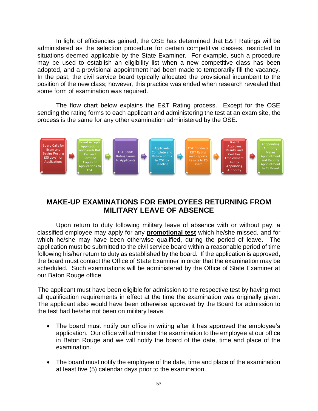In light of efficiencies gained, the OSE has determined that E&T Ratings will be administered as the selection procedure for certain competitive classes, restricted to situations deemed applicable by the State Examiner. For example, such a procedure may be used to establish an eligibility list when a new competitive class has been adopted, and a provisional appointment had been made to temporarily fill the vacancy. In the past, the civil service board typically allocated the provisional incumbent to the position of the new class; however, this practice was ended when research revealed that some form of examination was required.

The flow chart below explains the E&T Rating process. Except for the OSE sending the rating forms to each applicant and administering the test at an exam site, the process is the same for any other examination administered by the OSE.



# **MAKE-UP EXAMINATIONS FOR EMPLOYEES RETURNING FROM MILITARY LEAVE OF ABSENCE**

Upon return to duty following military leave of absence with or without pay, a classified employee may apply for any **promotional test** which he/she missed, and for which he/she may have been otherwise qualified, during the period of leave. The application must be submitted to the civil service board within a reasonable period of time following his/her return to duty as established by the board. If the application is approved, the board must contact the Office of State Examiner in order that the examination may be scheduled. Such examinations will be administered by the Office of State Examiner at our Baton Rouge office.

The applicant must have been eligible for admission to the respective test by having met all qualification requirements in effect at the time the examination was originally given. The applicant also would have been otherwise approved by the Board for admission to the test had he/she not been on military leave.

- The board must notify our office in writing after it has approved the employee's application. Our office will administer the examination to the employee at our office in Baton Rouge and we will notify the board of the date, time and place of the examination.
- The board must notify the employee of the date, time and place of the examination at least five (5) calendar days prior to the examination.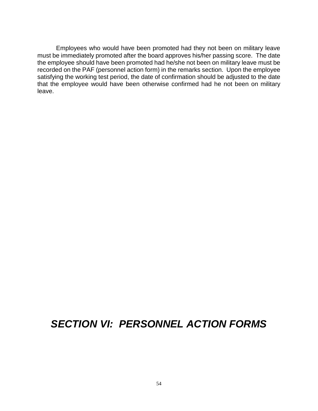Employees who would have been promoted had they not been on military leave must be immediately promoted after the board approves his/her passing score. The date the employee should have been promoted had he/she not been on military leave must be recorded on the PAF (personnel action form) in the remarks section. Upon the employee satisfying the working test period, the date of confirmation should be adjusted to the date that the employee would have been otherwise confirmed had he not been on military leave.

# *SECTION VI: PERSONNEL ACTION FORMS*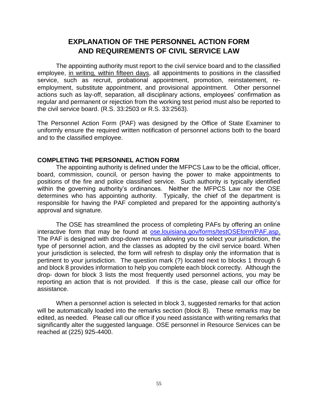# **EXPLANATION OF THE PERSONNEL ACTION FORM AND REQUIREMENTS OF CIVIL SERVICE LAW**

The appointing authority must report to the civil service board and to the classified employee, in writing, within fifteen days, all appointments to positions in the classified service, such as recruit, probational appointment, promotion, reinstatement, reemployment, substitute appointment, and provisional appointment. Other personnel actions such as lay-off, separation, all disciplinary actions, employees' confirmation as regular and permanent or rejection from the working test period must also be reported to the civil service board. (R.S. 33:2503 or R.S. 33:2563).

The Personnel Action Form (PAF) was designed by the Office of State Examiner to uniformly ensure the required written notification of personnel actions both to the board and to the classified employee.

#### **COMPLETING THE PERSONNEL ACTION FORM**

The appointing authority is defined under the MFPCS Law to be the official, officer, board, commission, council, or person having the power to make appointments to positions of the fire and police classified service. Such authority is typically identified within the governing authority's ordinances. Neither the MFPCS Law nor the OSE determines who has appointing authority. Typically, the chief of the department is responsible for having the PAF completed and prepared for the appointing authority's approval and signature.

The OSE has streamlined the process of completing PAFs by offering an online interactive form that may be found at ose.louisiana.gov/forms/testOSEform/PAF.asp. The PAF is designed with drop-down menus allowing you to select your jurisdiction, the type of personnel action, and the classes as adopted by the civil service board. When your jurisdiction is selected, the form will refresh to display only the information that is pertinent to your jurisdiction. The question mark (?) located next to blocks 1 through 6 and block 8 provides information to help you complete each block correctly. Although the drop- down for block 3 lists the most frequently used personnel actions, you may be reporting an action that is not provided. If this is the case, please call our office for assistance.

When a personnel action is selected in block 3, suggested remarks for that action will be automatically loaded into the remarks section (block 8). These remarks may be edited, as needed. Please call our office if you need assistance with writing remarks that significantly alter the suggested language. OSE personnel in Resource Services can be reached at (225) 925-4400.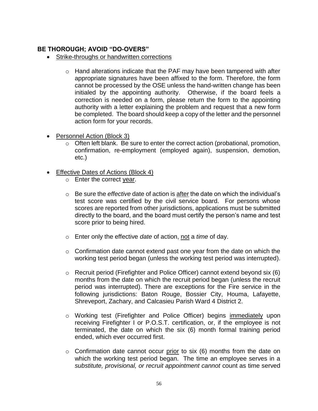## **BE THOROUGH; AVOID "DO-OVERS"**

- Strike-throughs or handwritten corrections
	- o Hand alterations indicate that the PAF may have been tampered with after appropriate signatures have been affixed to the form. Therefore, the form cannot be processed by the OSE unless the hand-written change has been initialed by the appointing authority. Otherwise, if the board feels a correction is needed on a form, please return the form to the appointing authority with a letter explaining the problem and request that a new form be completed. The board should keep a copy of the letter and the personnel action form for your records.
- Personnel Action (Block 3)
	- o Often left blank. Be sure to enter the correct action (probational, promotion, confirmation, re-employment (employed again), suspension, demotion, etc.)
- Effective Dates of Actions (Block 4)
	- o Enter the correct year.
	- o Be sure the *effective* date of action is after the date on which the individual's test score was certified by the civil service board. For persons whose scores are reported from other jurisdictions, applications must be submitted directly to the board, and the board must certify the person's name and test score prior to being hired.
	- o Enter only the effective *date* of action, not a *time* of day.
	- $\circ$  Confirmation date cannot extend past one year from the date on which the working test period began (unless the working test period was interrupted).
	- $\circ$  Recruit period (Firefighter and Police Officer) cannot extend beyond six (6) months from the date on which the recruit period began (unless the recruit period was interrupted). There are exceptions for the Fire service in the following jurisdictions: Baton Rouge, Bossier City, Houma, Lafayette, Shreveport, Zachary, and Calcasieu Parish Ward 4 District 2.
	- o Working test (Firefighter and Police Officer) begins immediately upon receiving Firefighter I or P.O.S.T. certification, or, if the employee is not terminated, the date on which the six (6) month formal training period ended, which ever occurred first.
	- $\circ$  Confirmation date cannot occur prior to six (6) months from the date on which the working test period began. The time an employee serves in a *substitute, provisional, or recruit appointment cannot* count as time served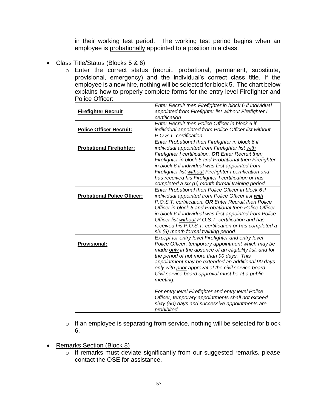in their working test period. The working test period begins when an employee is probationally appointed to a position in a class.

- Class Title/Status (Blocks 5 & 6)
	- o Enter the correct status (recruit, probational, permanent, substitute, provisional, emergency) and the individual's correct class title. If the employee is a new hire, nothing will be selected for block 5. The chart below explains how to properly complete forms for the entry level Firefighter and Police Officer:

| <b>Firefighter Recruit</b>         | Enter Recruit then Firefighter in block 6 if individual<br>appointed from Firefighter list without Firefighter I                                                                                                                                                                                                                                                                                                                                              |
|------------------------------------|---------------------------------------------------------------------------------------------------------------------------------------------------------------------------------------------------------------------------------------------------------------------------------------------------------------------------------------------------------------------------------------------------------------------------------------------------------------|
|                                    | certification.                                                                                                                                                                                                                                                                                                                                                                                                                                                |
| <b>Police Officer Recruit:</b>     | Enter Recruit then Police Officer in block 6 if<br>individual appointed from Police Officer list without<br>P.O.S.T. certification.                                                                                                                                                                                                                                                                                                                           |
| <b>Probational Firefighter:</b>    | Enter Probational then Firefighter in block 6 if<br>individual appointed from Firefighter list with<br>Firefighter I certification. OR Enter Recruit then<br>Firefighter in block 5 and Probational then Firefighter<br>in block 6 if individual was first appointed from<br>Firefighter list without Firefighter I certification and<br>has received his Firefighter I certification or has                                                                  |
| <b>Probational Police Officer:</b> | completed a six (6) month formal training period.<br>Enter Probational then Police Officer in block 6 if<br>individual appointed from Police Officer list with<br>P.O.S.T. certification. OR Enter Recruit then Police<br>Officer in block 5 and Probational then Police Officer<br>in block 6 if individual was first appointed from Police<br>Officer list without P.O.S.T. certification and has<br>received his P.O.S.T. certification or has completed a |
| <b>Provisional:</b>                | six (6) month formal training period.<br>Except for entry level Firefighter and entry level<br>Police Officer, temporary appointment which may be<br>made only in the absence of an eligibility list, and for<br>the period of not more than 90 days. This<br>appointment may be extended an additional 90 days<br>only with prior approval of the civil service board.<br>Civil service board approval must be at a public<br>meeting.                       |
|                                    | For entry level Firefighter and entry level Police<br>Officer, temporary appointments shall not exceed<br>sixty (60) days and successive appointments are<br>prohibited.                                                                                                                                                                                                                                                                                      |

- o If an employee is separating from service, nothing will be selected for block 6.
- Remarks Section (Block 8)
	- o If remarks must deviate significantly from our suggested remarks, please contact the OSE for assistance.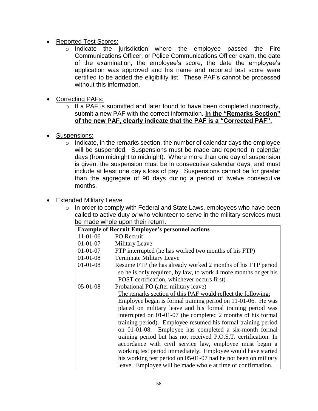- Reported Test Scores:
	- $\overline{\circ}$  Indicate the jurisdiction where the employee passed the Fire Communications Officer, or Police Communications Officer exam, the date of the examination, the employee's score, the date the employee's application was approved and his name and reported test score were certified to be added the eligibility list. These PAF's cannot be processed without this information.
- Correcting PAFs:
	- o If a PAF is submitted and later found to have been completed incorrectly, submit a new PAF with the correct information. **In the "Remarks Section" of the new PAF, clearly indicate that the PAF is a "Corrected PAF".**
- Suspensions:
	- $\circ$  Indicate, in the remarks section, the number of calendar days the employee will be suspended. Suspensions must be made and reported in calendar days (from midnight to midnight). Where more than one day of suspension is given, the suspension must be in consecutive calendar days, and must include at least one day's loss of pay. Suspensions cannot be for greater than the aggregate of 90 days during a period of twelve consecutive months.
- Extended Military Leave
	- $\circ$  In order to comply with Federal and State Laws, employees who have been called to active duty *or* who volunteer to serve in the military services must be made whole upon their return.

| <b>Example of Recruit Employee's personnel actions</b> |                                                                  |  |
|--------------------------------------------------------|------------------------------------------------------------------|--|
| $11-01-06$                                             | <b>PO</b> Recruit                                                |  |
| $01 - 01 - 07$                                         | <b>Military Leave</b>                                            |  |
| $01-01-07$                                             | FTP interrupted (he has worked two months of his FTP)            |  |
| $01 - 01 - 08$                                         | <b>Terminate Military Leave</b>                                  |  |
| $01 - 01 - 08$                                         | Resume FTP (he has already worked 2 months of his FTP period     |  |
|                                                        | so he is only required, by law, to work 4 more months or get his |  |
|                                                        | POST certification, whichever occurs first)                      |  |
| $05-01-08$                                             | Probational PO (after military leave)                            |  |
|                                                        | The remarks section of this PAF would reflect the following:     |  |
|                                                        | Employee began is formal training period on 11-01-06. He was     |  |
|                                                        | placed on military leave and his formal training period was      |  |
|                                                        | interrupted on 01-01-07 (he completed 2 months of his formal     |  |
|                                                        | training period). Employee resumed his formal training period    |  |
|                                                        | on 01-01-08. Employee has completed a six-month formal           |  |
|                                                        | training period but has not received P.O.S.T. certification. In  |  |
|                                                        | accordance with civil service law, employee must begin a         |  |
|                                                        | working test period immediately. Employee would have started     |  |
|                                                        | his working test period on 05-01-07 had he not been on military  |  |
|                                                        | leave. Employee will be made whole at time of confirmation.      |  |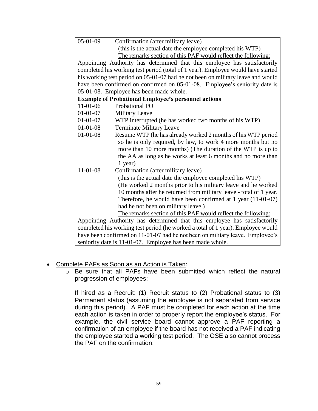| $05-01-09$<br>Confirmation (after military leave)                                |  |  |
|----------------------------------------------------------------------------------|--|--|
| (this is the actual date the employee completed his WTP)                         |  |  |
| The remarks section of this PAF would reflect the following:                     |  |  |
| Appointing Authority has determined that this employee has satisfactorily        |  |  |
| completed his working test period (total of 1 year). Employee would have started |  |  |
| his working test period on 05-01-07 had he not been on military leave and would  |  |  |
| have been confirmed on confirmed on 05-01-08. Employee's seniority date is       |  |  |
| 05-01-08. Employee has been made whole.                                          |  |  |
| <b>Example of Probational Employee's personnel actions</b>                       |  |  |
| $11-01-06$<br>Probational PO                                                     |  |  |
| $01-01-07$<br><b>Military Leave</b>                                              |  |  |
| $01 - 01 - 07$<br>WTP interrupted (he has worked two months of his WTP)          |  |  |
| $01 - 01 - 08$<br><b>Terminate Military Leave</b>                                |  |  |
| $01 - 01 - 08$<br>Resume WTP (he has already worked 2 months of his WTP period   |  |  |
| so he is only required, by law, to work 4 more months but no                     |  |  |
| more than 10 more months) (The duration of the WTP is up to                      |  |  |
| the AA as long as he works at least 6 months and no more than                    |  |  |
| 1 year)                                                                          |  |  |
| $11 - 01 - 08$<br>Confirmation (after military leave)                            |  |  |
| (this is the actual date the employee completed his WTP)                         |  |  |
| (He worked 2 months prior to his military leave and he worked                    |  |  |
| 10 months after he returned from military leave - total of 1 year.               |  |  |
| Therefore, he would have been confirmed at 1 year (11-01-07)                     |  |  |
| had he not been on military leave.)                                              |  |  |
| The remarks section of this PAF would reflect the following:                     |  |  |
| Appointing Authority has determined that this employee has satisfactorily        |  |  |
| completed his working test period (he worked a total of 1 year). Employee would  |  |  |
| have been confirmed on 11-01-07 had he not been on military leave. Employee's    |  |  |
| seniority date is 11-01-07. Employee has been made whole.                        |  |  |

- Complete PAFs as Soon as an Action is Taken:
	- o Be sure that all PAFs have been submitted which reflect the natural progression of employees:

If hired as a Recruit: (1) Recruit status to (2) Probational status to (3) Permanent status (assuming the employee is not separated from service during this period). A PAF must be completed for each action at the time each action is taken in order to properly report the employee's status. For example, the civil service board cannot approve a PAF reporting a confirmation of an employee if the board has not received a PAF indicating the employee started a working test period. The OSE also cannot process the PAF on the confirmation.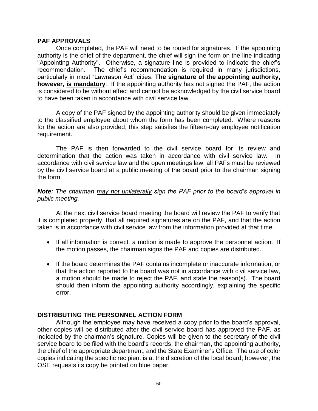#### **PAF APPROVALS**

Once completed, the PAF will need to be routed for signatures. If the appointing authority is the chief of the department, the chief will sign the form on the line indicating "Appointing Authority". Otherwise, a signature line is provided to indicate the chief's recommendation. The chief's recommendation is required in many jurisdictions, particularly in most "Lawrason Act" cities. **The signature of the appointing authority, however, is mandatory**. If the appointing authority has not signed the PAF, the action is considered to be without effect and cannot be acknowledged by the civil service board to have been taken in accordance with civil service law.

A copy of the PAF signed by the appointing authority should be given immediately to the classified employee about whom the form has been completed. Where reasons for the action are also provided, this step satisfies the fifteen-day employee notification requirement.

The PAF is then forwarded to the civil service board for its review and determination that the action was taken in accordance with civil service law. In accordance with civil service law and the open meetings law, all PAFs must be reviewed by the civil service board at a public meeting of the board prior to the chairman signing the form.

#### *Note: The chairman may not unilaterally sign the PAF prior to the board's approval in public meeting.*

At the next civil service board meeting the board will review the PAF to verify that it is completed properly, that all required signatures are on the PAF, and that the action taken is in accordance with civil service law from the information provided at that time.

- If all information is correct*,* a motion is made to approve the personnel action. If the motion passes, the chairman signs the PAF and copies are distributed.
- If the board determines the PAF contains incomplete or inaccurate information, or that the action reported to the board was not in accordance with civil service law, a motion should be made to reject the PAF, and state the reason(s). The board should then inform the appointing authority accordingly, explaining the specific error.

## **DISTRIBUTING THE PERSONNEL ACTION FORM**

Although the employee may have received a copy prior to the board's approval, other copies will be distributed after the civil service board has approved the PAF, as indicated by the chairman's signature. Copies will be given to the secretary of the civil service board to be filed with the board's records, the chairman, the appointing authority, the chief of the appropriate department, and the State Examiner's Office. The use of color copies indicating the specific recipient is at the discretion of the local board; however, the OSE requests its copy be printed on blue paper.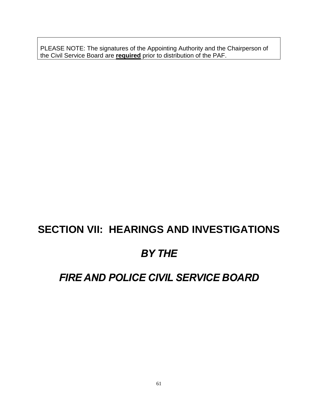PLEASE NOTE: The signatures of the Appointing Authority and the Chairperson of the Civil Service Board are **required** prior to distribution of the PAF.

# **SECTION VII: HEARINGS AND INVESTIGATIONS**

# *BY THE*

# *FIRE AND POLICE CIVIL SERVICE BOARD*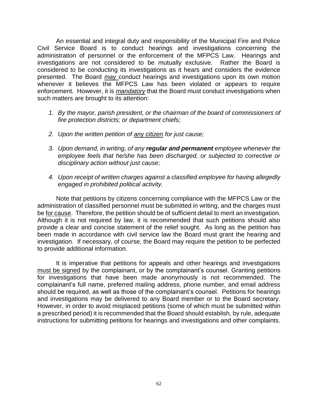An essential and integral duty and responsibility of the Municipal Fire and Police Civil Service Board is to conduct hearings and investigations concerning the administration of personnel or the enforcement of the MFPCS Law. Hearings and investigations are not considered to be mutually exclusive. Rather the Board is considered to be conducting its investigations as it hears and considers the evidence presented. The Board *may* conduct hearings and investigations upon its own motion whenever it believes the MFPCS Law has been violated or appears to require enforcement. However, it is *mandatory* that the Board must conduct investigations when such matters are brought to its attention:

- *1. By the mayor, parish president, or the chairman of the board of commissioners of fire protection districts; or department chiefs;*
- *2. Upon the written petition of any citizen for just cause;*
- *3. Upon demand, in writing, of any regular and permanent employee whenever the employee feels that he/she has been discharged, or subjected to corrective or disciplinary action without just cause;*
- *4. Upon receipt of written charges against a classified employee for having allegedly engaged in prohibited political activity.*

Note that petitions by citizens concerning compliance with the MFPCS Law or the administration of classified personnel must be submitted in writing, and the charges must be for cause. Therefore, the petition should be of sufficient detail to merit an investigation. Although it is not required by law, it is recommended that such petitions should also provide a clear and concise statement of the relief sought. As long as the petition has been made in accordance with civil service law the Board must grant the hearing and investigation. If necessary, of course, the Board may require the petition to be perfected to provide additional information.

It is imperative that petitions for appeals and other hearings and investigations must be signed by the complainant, or by the complainant's counsel. Granting petitions for investigations that have been made anonymously is not recommended. The complainant's full name, preferred mailing address, phone number, and email address should be required, as well as those of the complainant's counsel. Petitions for hearings and investigations may be delivered to any Board member or to the Board secretary. However, in order to avoid misplaced petitions (some of which must be submitted within a prescribed period) it is recommended that the Board should establish, by rule, adequate instructions for submitting petitions for hearings and investigations and other complaints.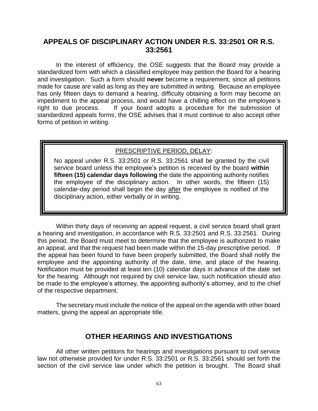# **APPEALS OF DISCIPLINARY ACTION UNDER R.S. 33:2501 OR R.S. 33:2561**

In the interest of efficiency, the OSE suggests that the Board may provide a standardized form with which a classified employee may petition the Board for a hearing and investigation. Such a form should **never** become a requirement, since all petitions made for cause are valid as long as they are submitted in writing. Because an employee has only fifteen days to demand a hearing, difficulty obtaining a form may become an impediment to the appeal process, and would have a chilling effect on the employee's right to due process. If your board adopts a procedure for the submission of standardized appeals forms, the OSE advises that it must continue to also accept other forms of petition in writing.

## PRESCRIPTIVE PERIOD, DELAY:

No appeal under R.S. 33:2501 or R.S. 33:2561 shall be granted by the civil service board unless the employee's petition is received by the board **within fifteen (15) calendar days following** the date the appointing authority notifies the employee of the disciplinary action. In other words, the fifteen (15) calendar-day period shall begin the day after the employee is notified of the disciplinary action, either verbally or in writing.

Within thirty days of receiving an appeal request, a civil service board shall grant a hearing and investigation, in accordance with R.S. 33:2501 and R.S. 33:2561. During this period, the Board must meet to determine that the employee is authorized to make an appeal, and that the request had been made within the 15-day prescriptive period. If the appeal has been found to have been properly submitted, the Board shall notify the employee and the appointing authority of the date, time, and place of the hearing. Notification must be provided at least ten (10) calendar days in advance of the date set for the hearing. Although not required by civil service law, such notification should also be made to the employee's attorney, the appointing authority's attorney, and to the chief of the respective department.

The secretary must include the notice of the appeal on the agenda with other board matters, giving the appeal an appropriate title.

# **OTHER HEARINGS AND INVESTIGATIONS**

All other written petitions for hearings and investigations pursuant to civil service law not otherwise provided for under R.S. 33:2501 or R.S. 33:2561 should set forth the section of the civil service law under which the petition is brought. The Board shall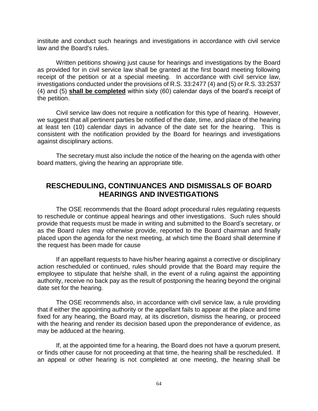institute and conduct such hearings and investigations in accordance with civil service law and the Board's rules.

Written petitions showing just cause for hearings and investigations by the Board as provided for in civil service law shall be granted at the first board meeting following receipt of the petition or at a special meeting. In accordance with civil service law, investigations conducted under the provisions of R.S. 33:2477 (4) and (5) or R.S. 33:2537 (4) and (5) **shall be completed** within sixty (60) calendar days of the board's receipt of the petition.

Civil service law does not require a notification for this type of hearing. However, we suggest that all pertinent parties be notified of the date, time, and place of the hearing at least ten (10) calendar days in advance of the date set for the hearing. This is consistent with the notification provided by the Board for hearings and investigations against disciplinary actions.

The secretary must also include the notice of the hearing on the agenda with other board matters, giving the hearing an appropriate title.

# **RESCHEDULING, CONTINUANCES AND DISMISSALS OF BOARD HEARINGS AND INVESTIGATIONS**

The OSE recommends that the Board adopt procedural rules regulating requests to reschedule or continue appeal hearings and other investigations. Such rules should provide that requests must be made in writing and submitted to the Board's secretary, or as the Board rules may otherwise provide, reported to the Board chairman and finally placed upon the agenda for the next meeting, at which time the Board shall determine if the request has been made for cause

If an appellant requests to have his/her hearing against a corrective or disciplinary action rescheduled or continued, rules should provide that the Board may require the employee to stipulate that he/she shall, in the event of a ruling against the appointing authority, receive no back pay as the result of postponing the hearing beyond the original date set for the hearing.

The OSE recommends also, in accordance with civil service law, a rule providing that if either the appointing authority or the appellant fails to appear at the place and time fixed for any hearing, the Board may, at its discretion, dismiss the hearing, or proceed with the hearing and render its decision based upon the preponderance of evidence, as may be adduced at the hearing.

If, at the appointed time for a hearing, the Board does not have a quorum present, or finds other cause for not proceeding at that time, the hearing shall be rescheduled. If an appeal or other hearing is not completed at one meeting, the hearing shall be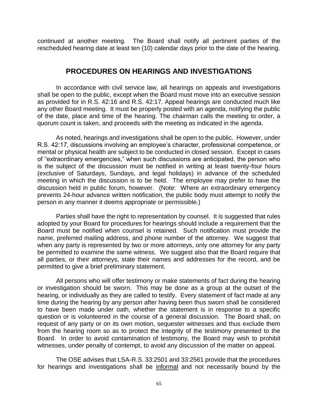continued at another meeting. The Board shall notify all pertinent parties of the rescheduled hearing date at least ten (10) calendar days prior to the date of the hearing.

## **PROCEDURES ON HEARINGS AND INVESTIGATIONS**

In accordance with civil service law, all hearings on appeals and investigations shall be open to the public, except when the Board must move into an executive session as provided for in R.S. 42:16 and R.S. 42:17. Appeal hearings are conducted much like any other Board meeting. It must be properly posted with an agenda, notifying the public of the date, place and time of the hearing. The chairman calls the meeting to order, a quorum count is taken, and proceeds with the meeting as indicated in the agenda.

As noted, hearings and investigations shall be open to the public. However, under R.S. 42:17, discussions involving an employee's character, professional competence, or mental or physical health are subject to be conducted in closed session. Except in cases of "extraordinary emergencies," when such discussions are anticipated, the person who is the subject of the discussion must be notified in writing at least twenty-four hours (exclusive of Saturdays, Sundays, and legal holidays) in advance of the scheduled meeting in which the discussion is to be held. The employee may prefer to have the discussion held in public forum, however. (Note: Where an extraordinary emergency prevents 24-hour advance written notification, the public body must attempt to notify the person in any manner it deems appropriate or permissible.)

Parties shall have the right to representation by counsel. It is suggested that rules adopted by your Board for procedures for hearings should include a requirement that the Board must be notified when counsel is retained. Such notification must provide the name, preferred mailing address, and phone number of the attorney. We suggest that when any party is represented by two or more attorneys, only one attorney for any party be permitted to examine the same witness. We suggest also that the Board require that all parties, or their attorneys, state their names and addresses for the record, and be permitted to give a brief preliminary statement.

All persons who will offer testimony or make statements of fact during the hearing or investigation should be sworn. This may be done as a group at the outset of the hearing, or individually as they are called to testify. Every statement of fact made at any time during the hearing by any person after having been thus sworn shall be considered to have been made under oath, whether the statement is in response to a specific question or is volunteered in the course of a general discussion. The Board shall, on request of any party or on its own motion, sequester witnesses and thus exclude them from the hearing room so as to protect the integrity of the testimony presented to the Board. In order to avoid contamination of testimony, the Board may wish to prohibit witnesses, under penalty of contempt, to avoid any discussion of the matter on appeal.

The OSE advises that LSA-R.S. 33:2501 and 33:2561 provide that the procedures for hearings and investigations shall be informal and not necessarily bound by the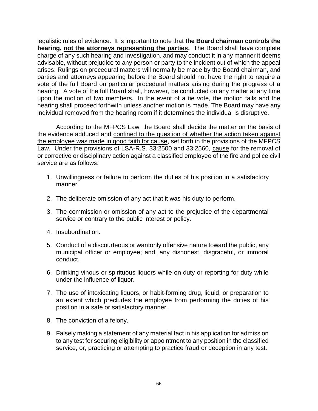legalistic rules of evidence. It is important to note that **the Board chairman controls the hearing, not the attorneys representing the parties.** The Board shall have complete charge of any such hearing and investigation, and may conduct it in any manner it deems advisable, without prejudice to any person or party to the incident out of which the appeal arises. Rulings on procedural matters will normally be made by the Board chairman, and parties and attorneys appearing before the Board should not have the right to require a vote of the full Board on particular procedural matters arising during the progress of a hearing. A vote of the full Board shall, however, be conducted on any matter at any time upon the motion of two members. In the event of a tie vote, the motion fails and the hearing shall proceed forthwith unless another motion is made. The Board may have any individual removed from the hearing room if it determines the individual is disruptive.

According to the MFPCS Law, the Board shall decide the matter on the basis of the evidence adduced and confined to the question of whether the action taken against the employee was made in good faith for cause, set forth in the provisions of the MFPCS Law. Under the provisions of LSA-R.S. 33:2500 and 33:2560, cause for the removal of or corrective or disciplinary action against a classified employee of the fire and police civil service are as follows:

- 1. Unwillingness or failure to perform the duties of his position in a satisfactory manner.
- 2. The deliberate omission of any act that it was his duty to perform.
- 3. The commission or omission of any act to the prejudice of the departmental service or contrary to the public interest or policy.
- 4. Insubordination.
- 5. Conduct of a discourteous or wantonly offensive nature toward the public, any municipal officer or employee; and, any dishonest, disgraceful, or immoral conduct.
- 6. Drinking vinous or spirituous liquors while on duty or reporting for duty while under the influence of liquor.
- 7. The use of intoxicating liquors, or habit-forming drug, liquid, or preparation to an extent which precludes the employee from performing the duties of his position in a safe or satisfactory manner.
- 8. The conviction of a felony.
- 9. Falsely making a statement of any material fact in his application for admission to any test for securing eligibility or appointment to any position in the classified service, or, practicing or attempting to practice fraud or deception in any test.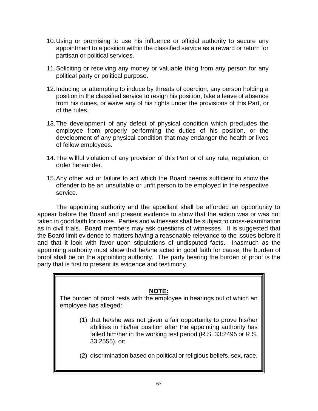- 10.Using or promising to use his influence or official authority to secure any appointment to a position within the classified service as a reward or return for partisan or political services.
- 11.Soliciting or receiving any money or valuable thing from any person for any political party or political purpose.
- 12.Inducing or attempting to induce by threats of coercion, any person holding a position in the classified service to resign his position, take a leave of absence from his duties, or waive any of his rights under the provisions of this Part, or of the rules.
- 13.The development of any defect of physical condition which precludes the employee from properly performing the duties of his position, or the development of any physical condition that may endanger the health or lives of fellow employees.
- 14.The willful violation of any provision of this Part or of any rule, regulation, or order hereunder.
- 15.Any other act or failure to act which the Board deems sufficient to show the offender to be an unsuitable or unfit person to be employed in the respective service.

The appointing authority and the appellant shall be afforded an opportunity to appear before the Board and present evidence to show that the action was or was not taken in good faith for cause. Parties and witnesses shall be subject to cross-examination as in civil trials. Board members may ask questions of witnesses. It is suggested that the Board limit evidence to matters having a reasonable relevance to the issues before it and that it look with favor upon stipulations of undisputed facts. Inasmuch as the appointing authority must show that he/she acted in good faith for cause, the burden of proof shall be on the appointing authority. The party bearing the burden of proof is the party that is first to present its evidence and testimony.

#### **NOTE:**

The burden of proof rests with the employee in hearings out of which an employee has alleged:

- (1) that he/she was not given a fair opportunity to prove his/her abilities in his/her position after the appointing authority has failed him/her in the working test period (R.S. 33:2495 or R.S. 33:2555), or;
- (2) discrimination based on political or religious beliefs, sex, race.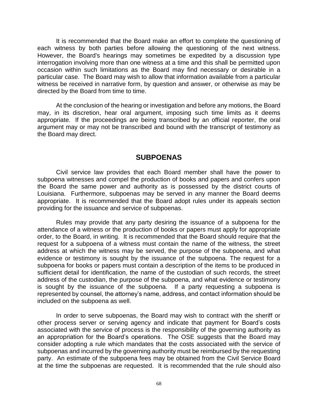It is recommended that the Board make an effort to complete the questioning of each witness by both parties before allowing the questioning of the next witness. However, the Board's hearings may sometimes be expedited by a discussion type interrogation involving more than one witness at a time and this shall be permitted upon occasion within such limitations as the Board may find necessary or desirable in a particular case. The Board may wish to allow that information available from a particular witness be received in narrative form, by question and answer, or otherwise as may be directed by the Board from time to time.

At the conclusion of the hearing or investigation and before any motions, the Board may, in its discretion, hear oral argument, imposing such time limits as it deems appropriate. If the proceedings are being transcribed by an official reporter, the oral argument may or may not be transcribed and bound with the transcript of testimony as the Board may direct.

## **SUBPOENAS**

Civil service law provides that each Board member shall have the power to subpoena witnesses and compel the production of books and papers and confers upon the Board the same power and authority as is possessed by the district courts of Louisiana. Furthermore, subpoenas may be served in any manner the Board deems appropriate. It is recommended that the Board adopt rules under its appeals section providing for the issuance and service of subpoenas.

Rules may provide that any party desiring the issuance of a subpoena for the attendance of a witness or the production of books or papers must apply for appropriate order, to the Board, in writing. It is recommended that the Board should require that the request for a subpoena of a witness must contain the name of the witness, the street address at which the witness may be served, the purpose of the subpoena, and what evidence or testimony is sought by the issuance of the subpoena. The request for a subpoena for books or papers must contain a description of the items to be produced in sufficient detail for identification, the name of the custodian of such records, the street address of the custodian, the purpose of the subpoena, and what evidence or testimony is sought by the issuance of the subpoena. If a party requesting a subpoena is represented by counsel, the attorney's name, address, and contact information should be included on the subpoena as well.

In order to serve subpoenas, the Board may wish to contract with the sheriff or other process server or serving agency and indicate that payment for Board's costs associated with the service of process is the responsibility of the governing authority as an appropriation for the Board's operations. The OSE suggests that the Board may consider adopting a rule which mandates that the costs associated with the service of subpoenas and incurred by the governing authority must be reimbursed by the requesting party. An estimate of the subpoena fees may be obtained from the Civil Service Board at the time the subpoenas are requested. It is recommended that the rule should also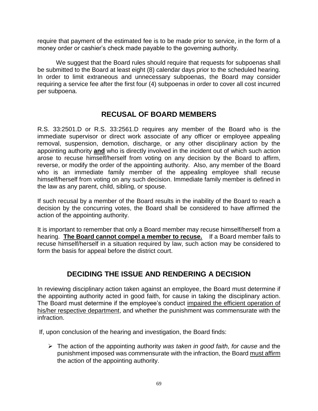require that payment of the estimated fee is to be made prior to service, in the form of a money order or cashier's check made payable to the governing authority.

We suggest that the Board rules should require that requests for subpoenas shall be submitted to the Board at least eight (8) calendar days prior to the scheduled hearing. In order to limit extraneous and unnecessary subpoenas, the Board may consider requiring a service fee after the first four (4) subpoenas in order to cover all cost incurred per subpoena.

# **RECUSAL OF BOARD MEMBERS**

R.S. 33:2501.D or R.S. 33:2561.D requires any member of the Board who is the immediate supervisor or direct work associate of any officer or employee appealing removal, suspension, demotion, discharge, or any other disciplinary action by the appointing authority **and** who is directly involved in the incident out of which such action arose to recuse himself/herself from voting on any decision by the Board to affirm, reverse, or modify the order of the appointing authority. Also, any member of the Board who is an immediate family member of the appealing employee shall recuse himself/herself from voting on any such decision. Immediate family member is defined in the law as any parent, child, sibling, or spouse.

If such recusal by a member of the Board results in the inability of the Board to reach a decision by the concurring votes, the Board shall be considered to have affirmed the action of the appointing authority.

It is important to remember that only a Board member may recuse himself/herself from a hearing. **The Board cannot compel a member to recuse.** If a Board member fails to recuse himself/herself in a situation required by law, such action may be considered to form the basis for appeal before the district court.

# **DECIDING THE ISSUE AND RENDERING A DECISION**

In reviewing disciplinary action taken against an employee, the Board must determine if the appointing authority acted in good faith, for cause in taking the disciplinary action. The Board must determine if the employee's conduct impaired the efficient operation of his/her respective department, and whether the punishment was commensurate with the infraction.

If, upon conclusion of the hearing and investigation, the Board finds:

➢ The action of the appointing authority *was taken in good faith, for cause* and the punishment imposed was commensurate with the infraction, the Board must affirm the action of the appointing authority.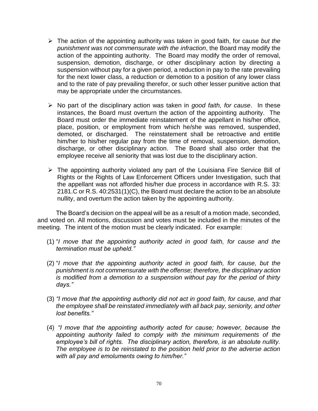- ➢ The action of the appointing authority was taken in good faith, for cause *but the punishment was not commensurate with the infraction*, the Board may modify the action of the appointing authority. The Board may modify the order of removal, suspension, demotion, discharge, or other disciplinary action by directing a suspension without pay for a given period, a reduction in pay to the rate prevailing for the next lower class, a reduction or demotion to a position of any lower class and to the rate of pay prevailing therefor, or such other lesser punitive action that may be appropriate under the circumstances.
- ➢ No part of the disciplinary action was taken in *good faith, for cause*. In these instances, the Board must overturn the action of the appointing authority. The Board must order the immediate reinstatement of the appellant in his/her office, place, position, or employment from which he/she was removed, suspended, demoted, or discharged. The reinstatement shall be retroactive and entitle him/her to his/her regular pay from the time of removal, suspension, demotion, discharge, or other disciplinary action. The Board shall also order that the employee receive all seniority that was lost due to the disciplinary action.
- ➢ The appointing authority violated any part of the Louisiana Fire Service Bill of Rights or the Rights of Law Enforcement Officers under Investigation, such that the appellant was not afforded his/her due process in accordance with R.S. 33: 2181.C or R.S. 40:2531(1)(C), the Board must declare the action to be an absolute nullity, and overturn the action taken by the appointing authority.

The Board's decision on the appeal will be as a result of a motion made, seconded, and voted on. All motions, discussion and votes must be included in the minutes of the meeting. The intent of the motion must be clearly indicated. For example:

- (1) "*I move that the appointing authority acted in good faith, for cause and the termination must be upheld."*
- (2) "*I move that the appointing authority acted in good faith, for cause, but the punishment is not commensurate with the offense; therefore, the disciplinary action is modified from a demotion to a suspension without pay for the period of thirty days."*
- (3) *"I move that the appointing authority did not act in good faith, for cause, and that the employee shall be reinstated immediately with all back pay, seniority, and other lost benefits."*
- (4) *"I move that the appointing authority acted for cause; however, because the appointing authority failed to comply with the minimum requirements of the employee's bill of rights. The disciplinary action, therefore, is an absolute nullity. The employee is to be reinstated to the position held prior to the adverse action with all pay and emoluments owing to him/her."*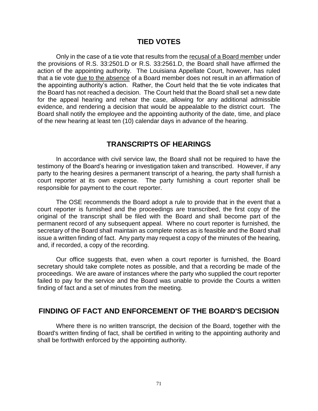## **TIED VOTES**

Only in the case of a tie vote that results from the recusal of a Board member under the provisions of R.S. 33:2501.D or R.S. 33:2561.D, the Board shall have affirmed the action of the appointing authority. The Louisiana Appellate Court, however, has ruled that a tie vote due to the absence of a Board member does not result in an affirmation of the appointing authority's action. Rather, the Court held that the tie vote indicates that the Board has not reached a decision. The Court held that the Board shall set a new date for the appeal hearing and rehear the case, allowing for any additional admissible evidence, and rendering a decision that would be appealable to the district court. The Board shall notify the employee and the appointing authority of the date, time, and place of the new hearing at least ten (10) calendar days in advance of the hearing.

## **TRANSCRIPTS OF HEARINGS**

In accordance with civil service law, the Board shall not be required to have the testimony of the Board's hearing or investigation taken and transcribed. However, if any party to the hearing desires a permanent transcript of a hearing, the party shall furnish a court reporter at its own expense. The party furnishing a court reporter shall be responsible for payment to the court reporter.

The OSE recommends the Board adopt a rule to provide that in the event that a court reporter is furnished and the proceedings are transcribed, the first copy of the original of the transcript shall be filed with the Board and shall become part of the permanent record of any subsequent appeal. Where no court reporter is furnished, the secretary of the Board shall maintain as complete notes as is feasible and the Board shall issue a written finding of fact. Any party may request a copy of the minutes of the hearing, and, if recorded, a copy of the recording.

Our office suggests that, even when a court reporter is furnished, the Board secretary should take complete notes as possible, and that a recording be made of the proceedings. We are aware of instances where the party who supplied the court reporter failed to pay for the service and the Board was unable to provide the Courts a written finding of fact and a set of minutes from the meeting.

## **FINDING OF FACT AND ENFORCEMENT OF THE BOARD'S DECISION**

Where there is no written transcript, the decision of the Board, together with the Board's written finding of fact, shall be certified in writing to the appointing authority and shall be forthwith enforced by the appointing authority.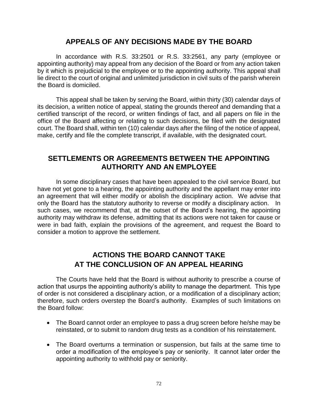#### **APPEALS OF ANY DECISIONS MADE BY THE BOARD**

In accordance with R.S. 33:2501 or R.S. 33:2561, any party (employee or appointing authority) may appeal from any decision of the Board or from any action taken by it which is prejudicial to the employee or to the appointing authority. This appeal shall lie direct to the court of original and unlimited jurisdiction in civil suits of the parish wherein the Board is domiciled.

This appeal shall be taken by serving the Board, within thirty (30) calendar days of its decision, a written notice of appeal, stating the grounds thereof and demanding that a certified transcript of the record, or written findings of fact, and all papers on file in the office of the Board affecting or relating to such decisions, be filed with the designated court. The Board shall, within ten (10) calendar days after the filing of the notice of appeal, make, certify and file the complete transcript, if available, with the designated court.

#### **SETTLEMENTS OR AGREEMENTS BETWEEN THE APPOINTING AUTHORITY AND AN EMPLOYEE**

In some disciplinary cases that have been appealed to the civil service Board, but have not yet gone to a hearing, the appointing authority and the appellant may enter into an agreement that will either modify or abolish the disciplinary action. We advise that only the Board has the statutory authority to reverse or modify a disciplinary action. In such cases, we recommend that, at the outset of the Board's hearing, the appointing authority may withdraw its defense, admitting that its actions were not taken for cause or were in bad faith, explain the provisions of the agreement, and request the Board to consider a motion to approve the settlement.

## **ACTIONS THE BOARD CANNOT TAKE AT THE CONCLUSION OF AN APPEAL HEARING**

The Courts have held that the Board is without authority to prescribe a course of action that usurps the appointing authority's ability to manage the department. This type of order is not considered a disciplinary action, or a modification of a disciplinary action; therefore, such orders overstep the Board's authority. Examples of such limitations on the Board follow:

- The Board cannot order an employee to pass a drug screen before he/she may be reinstated, or to submit to random drug tests as a condition of his reinstatement.
- The Board overturns a termination or suspension, but fails at the same time to order a modification of the employee's pay or seniority. It cannot later order the appointing authority to withhold pay or seniority.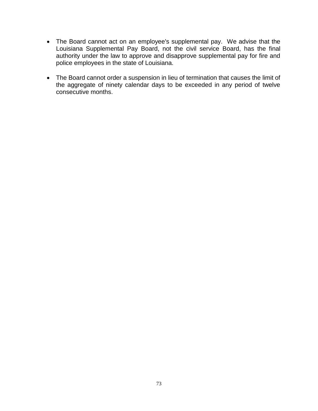- The Board cannot act on an employee's supplemental pay. We advise that the Louisiana Supplemental Pay Board, not the civil service Board, has the final authority under the law to approve and disapprove supplemental pay for fire and police employees in the state of Louisiana.
- The Board cannot order a suspension in lieu of termination that causes the limit of the aggregate of ninety calendar days to be exceeded in any period of twelve consecutive months.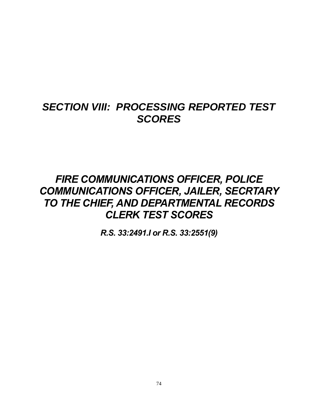# *SECTION VIII: PROCESSING REPORTED TEST SCORES*

# *FIRE COMMUNICATIONS OFFICER, POLICE COMMUNICATIONS OFFICER, JAILER, SECRTARY TO THE CHIEF, AND DEPARTMENTAL RECORDS CLERK TEST SCORES*

*R.S. 33:2491.I or R.S. 33:2551(9)*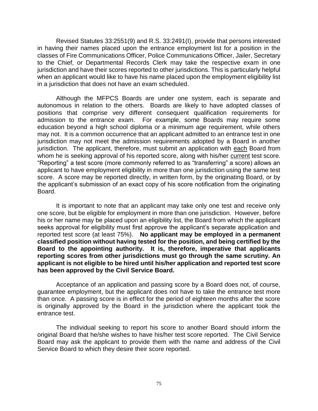Revised Statutes 33:2551(9) and R.S. 33:2491(I), provide that persons interested in having their names placed upon the entrance employment list for a position in the classes of Fire Communications Officer, Police Communications Officer, Jailer, Secretary to the Chief, or Departmental Records Clerk may take the respective exam in one jurisdiction and have their scores reported to other jurisdictions. This is particularly helpful when an applicant would like to have his name placed upon the employment eligibility list in a jurisdiction that does not have an exam scheduled.

Although the MFPCS Boards are under one system, each is separate and autonomous in relation to the others. Boards are likely to have adopted classes of positions that comprise very different consequent qualification requirements for admission to the entrance exam. For example, some Boards may require some education beyond a high school diploma or a minimum age requirement, while others may not. It is a common occurrence that an applicant admitted to an entrance test in one jurisdiction may not meet the admission requirements adopted by a Board in another jurisdiction. The applicant, therefore, must submit an application with each Board from whom he is seeking approval of his reported score, along with his/her current test score. "Reporting" a test score (more commonly referred to as "transferring" a score) allows an applicant to have employment eligibility in more than one jurisdiction using the same test score. A score may be reported directly, in written form, by the originating Board, or by the applicant's submission of an exact copy of his score notification from the originating Board.

It is important to note that an applicant may take only one test and receive only one score, but be eligible for employment in more than one jurisdiction. However, before his or her name may be placed upon an eligibility list, the Board from which the applicant seeks approval for eligibility must first approve the applicant's separate application and reported test score (at least 75%). **No applicant may be employed in a permanent classified position without having tested for the position, and being certified by the Board to the appointing authority. It is, therefore, imperative that applicants reporting scores from other jurisdictions must go through the same scrutiny. An applicant is not eligible to be hired until his/her application and reported test score has been approved by the Civil Service Board.**

Acceptance of an application and passing score by a Board does not, of course, guarantee employment, but the applicant does not have to take the entrance test more than once. A passing score is in effect for the period of eighteen months after the score is originally approved by the Board in the jurisdiction where the applicant took the entrance test.

The individual seeking to report his score to another Board should inform the original Board that he/she wishes to have his/her test score reported. The Civil Service Board may ask the applicant to provide them with the name and address of the Civil Service Board to which they desire their score reported.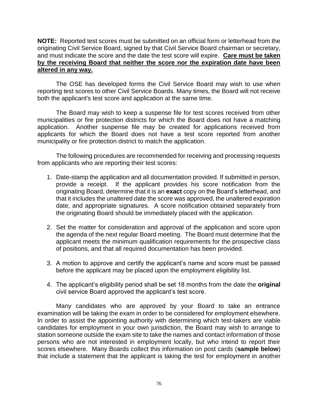**NOTE:** Reported test scores must be submitted on an official form or letterhead from the originating Civil Service Board, signed by that Civil Service Board chairman or secretary, and must indicate the score and the date the test score will expire. **Care must be taken by the receiving Board that neither the score nor the expiration date have been altered in any way.**

The OSE has developed forms the Civil Service Board may wish to use when reporting test scores to other Civil Service Boards. Many times, the Board will not receive both the applicant's test score and application at the same time.

The Board may wish to keep a suspense file for test scores received from other municipalities or fire protection districts for which the Board does not have a matching application. Another suspense file may be created for applications received from applicants for which the Board does not have a test score reported from another municipality or fire protection district to match the application.

The following procedures are recommended for receiving and processing requests from applicants who are reporting their test scores:

- 1. Date-stamp the application and all documentation provided. If submitted in person, provide a receipt. If the applicant provides his score notification from the originating Board, determine that it is an **exact** copy on the Board's letterhead, and that it includes the unaltered date the score was approved, the unaltered expiration date, and appropriate signatures. A score notification obtained separately from the originating Board should be immediately placed with the application.
- 2. Set the matter for consideration and approval of the application and score upon the agenda of the next regular Board meeting. The Board must determine that the applicant meets the minimum qualification requirements for the prospective class of positions, and that all required documentation has been provided.
- 3. A motion to approve and certify the applicant's name and score must be passed before the applicant may be placed upon the employment eligibility list.
- 4. The applicant's eligibility period shall be set 18 months from the date the **original** civil service Board approved the applicant's test score.

Many candidates who are approved by your Board to take an entrance examination will be taking the exam in order to be considered for employment elsewhere. In order to assist the appointing authority with determining which test-takers are viable candidates for employment in your own jurisdiction, the Board may wish to arrange to station someone outside the exam site to take the names and contact information of those persons who are not interested in employment locally, but who intend to report their scores elsewhere. Many Boards collect this information on post cards (**sample below**) that include a statement that the applicant is taking the test for employment in another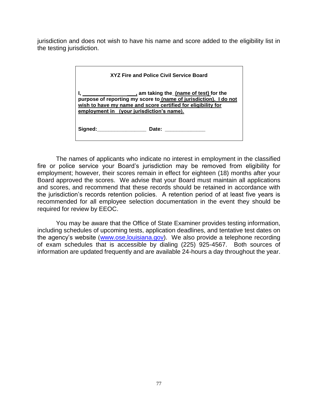jurisdiction and does not wish to have his name and score added to the eligibility list in the testing jurisdiction.

| XYZ Fire and Police Civil Service Board                                                                                                                                        |
|--------------------------------------------------------------------------------------------------------------------------------------------------------------------------------|
| purpose of reporting my score to (name of jurisdiction). I do not<br>wish to have my name and score certified for eligibility for<br>employment in (your jurisdiction's name). |
| Signed: ____________________<br>Date: _______________                                                                                                                          |

The names of applicants who indicate no interest in employment in the classified fire or police service your Board's jurisdiction may be removed from eligibility for employment; however, their scores remain in effect for eighteen (18) months after your Board approved the scores. We advise that your Board must maintain all applications and scores, and recommend that these records should be retained in accordance with the jurisdiction's records retention policies. A retention period of at least five years is recommended for all employee selection documentation in the event they should be required for review by EEOC.

You may be aware that the Office of State Examiner provides testing information, including schedules of upcoming tests, application deadlines, and tentative test dates on the agency's website [\(www.ose.louisiana.gov\)](http://www.ose.louisiana.gov/). We also provide a telephone recording of exam schedules that is accessible by dialing (225) 925-4567. Both sources of information are updated frequently and are available 24-hours a day throughout the year.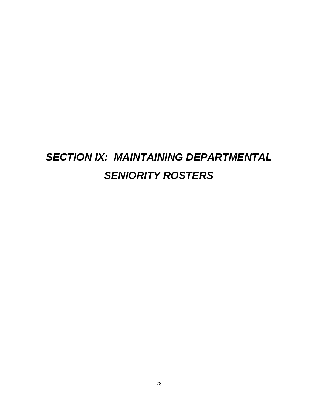# *SECTION IX: MAINTAINING DEPARTMENTAL SENIORITY ROSTERS*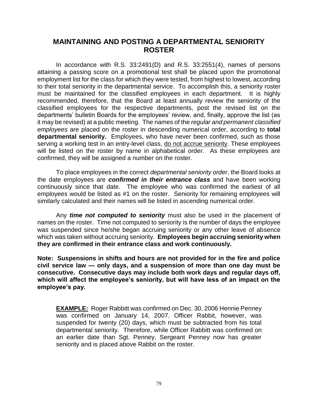### **MAINTAINING AND POSTING A DEPARTMENTAL SENIORITY ROSTER**

In accordance with R.S. 33:2491(D) and R.S. 33:2551(4), names of persons attaining a passing score on a promotional test shall be placed upon the promotional employment list for the class for which they were tested, from highest to lowest, according to their total seniority in the departmental service. To accomplish this, a seniority roster must be maintained for the classified employees in each department. It is highly recommended, therefore, that the Board at least annually review the seniority of the classified employees for the respective departments, post the revised list on the departments' bulletin Boards for the employees' review, and, finally, approve the list (as it may be revised) at a public meeting. The names of the *regular and permanent classified employees* are placed on the roster in descending numerical order, according to **total departmental seniority.** Employees, who have never been confirmed, such as those serving a working test in an entry-level class, do not accrue seniority. These employees will be listed on the roster by name in alphabetical order. As these employees are confirmed, they will be assigned a number on the roster.

To place employees in the correct *departmental seniority order*, the Board looks at the date employees are *confirmed in their entrance class* and have been working continuously since that date. The employee who was confirmed the earliest of all employees would be listed as #1 on the roster. Seniority for remaining employees will similarly calculated and their names will be listed in ascending numerical order.

Any *time not computed to seniority* must also be used in the placement of names on the roster. Time not computed to seniority is the number of days the employee was suspended since he/she began accruing seniority or any other leave of absence which was taken without accruing seniority. **Employees begin accruing seniority when they are confirmed in their entrance class and work continuously.**

**Note: Suspensions in shifts and hours are not provided for in the fire and police civil service law — only days, and a suspension of more than one day must be consecutive. Consecutive days may include both work days and regular days off, which will affect the employee's seniority, but will have less of an impact on the employee's pay.** 

**EXAMPLE:** Roger Rabbitt was confirmed on Dec. 30, 2006 Hennie Penney was confirmed on January 14, 2007. Officer Rabbit, however, was suspended for twenty (20) days, which must be subtracted from his total departmental seniority. Therefore, while Officer Rabbitt was confirmed on an earlier date than Sgt. Penney, Sergeant Penney now has greater seniority and is placed above Rabbit on the roster.